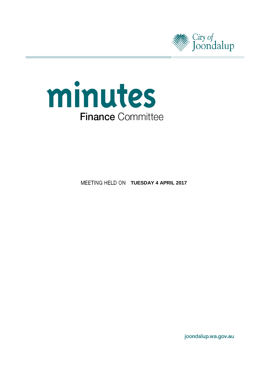



**MEETING HELD ON TUESDAY 4 APRIL 2017** 

joondalup.wa.gov.au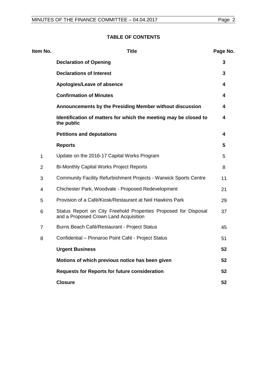| Item No.       | <b>Title</b>                                                                                             | Page No. |
|----------------|----------------------------------------------------------------------------------------------------------|----------|
|                | <b>Declaration of Opening</b>                                                                            | 3        |
|                | <b>Declarations of Interest</b>                                                                          | 3        |
|                | Apologies/Leave of absence                                                                               | 4        |
|                | <b>Confirmation of Minutes</b>                                                                           | 4        |
|                | Announcements by the Presiding Member without discussion                                                 | 4        |
|                | Identification of matters for which the meeting may be closed to<br>the public                           | 4        |
|                | <b>Petitions and deputations</b>                                                                         | 4        |
|                | <b>Reports</b>                                                                                           | 5        |
| 1              | Update on the 2016-17 Capital Works Program                                                              | 5        |
| $\overline{2}$ | <b>Bi-Monthly Capital Works Project Reports</b>                                                          | 8        |
| 3              | Community Facility Refurbishment Projects - Warwick Sports Centre                                        | 11       |
| 4              | Chichester Park, Woodvale - Proposed Redevelopment                                                       | 21       |
| 5              | Provision of a Café/Kiosk/Restaurant at Neil Hawkins Park                                                | 29       |
| 6              | Status Report on City Freehold Properties Proposed for Disposal<br>and a Proposed Crown Land Acquisition | 37       |
| $\overline{7}$ | Burns Beach Café/Restaurant - Project Status                                                             | 45       |
| 8              | Confidential - Pinnaroo Point Café - Project Status                                                      | 51       |
|                | <b>Urgent Business</b>                                                                                   | 52       |
|                | Motions of which previous notice has been given                                                          | 52       |
|                | <b>Requests for Reports for future consideration</b>                                                     | 52       |
|                | <b>Closure</b>                                                                                           | 52       |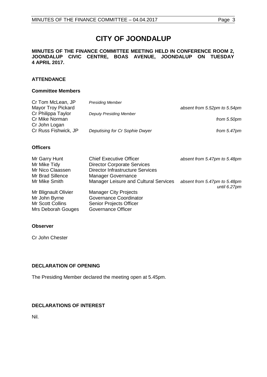# **CITY OF JOONDALUP**

#### **MINUTES OF THE FINANCE COMMITTEE MEETING HELD IN CONFERENCE ROOM 2, JOONDALUP CIVIC CENTRE, BOAS AVENUE, JOONDALUP ON TUESDAY 4 APRIL 2017.**

## **ATTENDANCE**

#### **Committee Members**

| Cr Tom McLean, JP                                     | <b>Presiding Member</b>                      |                                              |
|-------------------------------------------------------|----------------------------------------------|----------------------------------------------|
| <b>Mayor Troy Pickard</b>                             |                                              | absent from 5.52pm to 5.54pm                 |
| Cr Philippa Taylor<br>Cr Mike Norman<br>Cr John Logan | <b>Deputy Presiding Member</b>               | from 5.50pm                                  |
| Cr Russ Fishwick, JP                                  | Deputising for Cr Sophie Dwyer               | from $5.47$ pm                               |
|                                                       |                                              |                                              |
| <b>Officers</b>                                       |                                              |                                              |
| Mr Garry Hunt                                         | <b>Chief Executive Officer</b>               | absent from 5.47pm to 5.48pm                 |
| Mr Mike Tidy                                          | <b>Director Corporate Services</b>           |                                              |
| Mr Nico Claassen                                      | <b>Director Infrastructure Services</b>      |                                              |
| Mr Brad Sillence                                      | <b>Manager Governance</b>                    |                                              |
| Mr Mike Smith                                         | <b>Manager Leisure and Cultural Services</b> | absent from 5.47pm to 5.48pm<br>until 6.27pm |
| Mr Rlianault Oliviar                                  | Manager City Projects                        |                                              |

Mr Blignault Olivier Manager City Projects<br>Mr John Byrne Governance Coordinat Mr John Byrne Governance Coordinator<br>
Mr Scott Collins Senior Projects Officer Mrs Deborah Gouges Governance Officer

#### **Observer**

Cr John Chester

#### <span id="page-2-0"></span>**DECLARATION OF OPENING**

The Presiding Member declared the meeting open at 5.45pm.

**Senior Projects Officer** 

## <span id="page-2-1"></span>**DECLARATIONS OF INTEREST**

<span id="page-2-2"></span>Nil.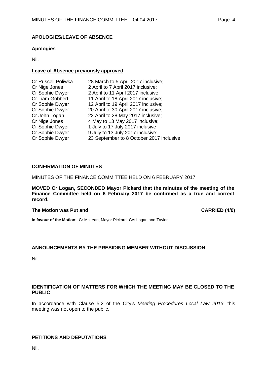#### **APOLOGIES/LEAVE OF ABSENCE**

#### **Apologies**

Nil.

### **Leave of Absence previously approved**

| 2 April to 7 April 2017 inclusive;<br>Cr Nige Jones          |  |
|--------------------------------------------------------------|--|
|                                                              |  |
| Cr Sophie Dwyer<br>2 April to 11 April 2017 inclusive;       |  |
| 11 April to 18 April 2017 inclusive;<br>Cr Liam Gobbert      |  |
| 12 April to 19 April 2017 inclusive;<br>Cr Sophie Dwyer      |  |
| Cr Sophie Dwyer<br>20 April to 30 April 2017 inclusive;      |  |
| 22 April to 28 May 2017 inclusive;<br>Cr John Logan          |  |
| Cr Nige Jones<br>4 May to 13 May 2017 inclusive;             |  |
| Cr Sophie Dwyer<br>1 July to 17 July 2017 inclusive;         |  |
| 9 July to 13 July 2017 inclusive;<br>Cr Sophie Dwyer         |  |
| Cr Sophie Dwyer<br>23 September to 8 October 2017 inclusive. |  |

### <span id="page-3-0"></span>**CONFIRMATION OF MINUTES**

#### MINUTES OF THE FINANCE COMMITTEE HELD ON 6 FEBRUARY 2017

**MOVED Cr Logan, SECONDED Mayor Pickard that the minutes of the meeting of the Finance Committee held on 6 February 2017 be confirmed as a true and correct record.**

#### **The Motion was Put and CARRIED (4/0)**

**In favour of the Motion:** Cr McLean, Mayor Pickard, Crs Logan and Taylor.

## <span id="page-3-1"></span>**ANNOUNCEMENTS BY THE PRESIDING MEMBER WITHOUT DISCUSSION**

Nil.

### <span id="page-3-2"></span>**IDENTIFICATION OF MATTERS FOR WHICH THE MEETING MAY BE CLOSED TO THE PUBLIC**

In accordance with Clause 5.2 of the City's *Meeting Procedures Local Law 2013*, this meeting was not open to the public.

## <span id="page-3-3"></span>**PETITIONS AND DEPUTATIONS**

Nil.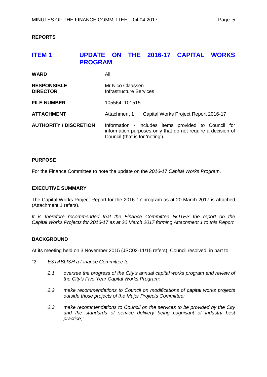#### <span id="page-4-0"></span>**REPORTS**

## <span id="page-4-1"></span>**ITEM 1 UPDATE ON THE 2016-17 CAPITAL WORKS PROGRAM**

| <b>WARD</b>                           | All                                                                                                                                                    |  |  |
|---------------------------------------|--------------------------------------------------------------------------------------------------------------------------------------------------------|--|--|
| <b>RESPONSIBLE</b><br><b>DIRECTOR</b> | Mr Nico Claassen<br>Infrastructure Services                                                                                                            |  |  |
| <b>FILE NUMBER</b>                    | 105564, 101515                                                                                                                                         |  |  |
| <b>ATTACHMENT</b>                     | Attachment 1<br>Capital Works Project Report 2016-17                                                                                                   |  |  |
| <b>AUTHORITY / DISCRETION</b>         | Information - includes items provided to Council for<br>information purposes only that do not require a decision of<br>Council (that is for 'noting'). |  |  |

#### **PURPOSE**

For the Finance Committee to note the update on the *2016-17 Capital Works Program*.

#### **EXECUTIVE SUMMARY**

The Capital Works Project Report for the 2016-17 program as at 20 March 2017 is attached (Attachment 1 refers).

It is therefore recommended that the Finance Committee NOTES the report on the *Capital Works Projects for 2016-17 as at 20 March 2017 forming Attachment 1 to this Report.*

#### **BACKGROUND**

At its meeting held on 3 November 2015 (JSC02-11/15 refers), Council resolved, in part to:

- *"2 ESTABLISH a Finance Committee to:*
	- *2.1 oversee the progress of the City's annual capital works program and review of the City's Five Year Capital Works Program;*
	- *2.2 make recommendations to Council on modifications of capital works projects outside those projects of the Major Projects Committee;*
	- *2.3 make recommendations to Council on the services to be provided by the City and the standards of service delivery being cognisant of industry best practice;"*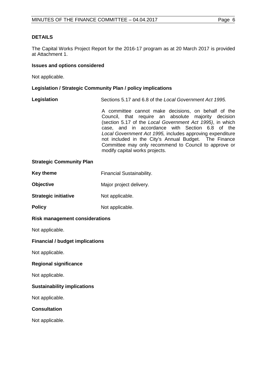#### **DETAILS**

The Capital Works Project Report for the 2016-17 program as at 20 March 2017 is provided at Attachment 1.

#### **Issues and options considered**

Not applicable.

#### **Legislation / Strategic Community Plan / policy implications**

**Legislation** Sections 5.17 and 6.8 of the *Local Government Act 1995.*

A committee cannot make decisions, on behalf of the Council, that require an absolute majority decision (section 5.17 of the *Local Government Act 1995)*, in which case, and in accordance with Section 6.8 of the *Local Government Act 1995,* includes approving expenditure not included in the City's Annual Budget. The Finance Committee may only recommend to Council to approve or modify capital works projects.

#### **Strategic Community Plan**

| Key theme | <b>Financial Sustainability.</b> |
|-----------|----------------------------------|
|-----------|----------------------------------|

- **Objective** Major project delivery.
- **Strategic initiative** Not applicable.
- **Policy** Not applicable.

#### **Risk management considerations**

Not applicable.

#### **Financial / budget implications**

Not applicable.

#### **Regional significance**

Not applicable.

#### **Sustainability implications**

Not applicable.

#### **Consultation**

Not applicable.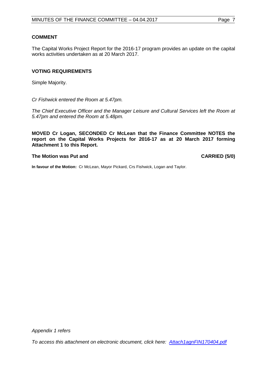#### **COMMENT**

The Capital Works Project Report for the 2016-17 program provides an update on the capital works activities undertaken as at 20 March 2017.

#### **VOTING REQUIREMENTS**

Simple Majority.

*Cr Fishwick entered the Room at 5.47pm.*

*The Chief Executive Officer and the Manager Leisure and Cultural Services left the Room at 5.47pm and entered the Room at 5.48pm.* 

**MOVED Cr Logan, SECONDED Cr McLean that the Finance Committee NOTES the report on the Capital Works Projects for 2016-17 as at 20 March 2017 forming Attachment 1 to this Report.**

#### **The Motion was Put and CARRIED (5/0)**

**In favour of the Motion:** Cr McLean, Mayor Pickard, Crs Fishwick, Logan and Taylor.

*[To access this attachment on electronic document, click here: Attach1agnFIN170404.pdf](http://www.joondalup.wa.gov.au/files/committees/FINC/2017/Attach1agnFIN170404.pdf)*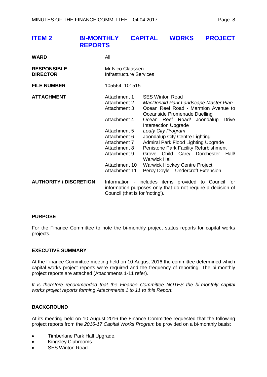<span id="page-7-0"></span>

| <b>ITEM 2</b>                         | <b>BI-MONTHLY</b><br><b>REPORTS</b> |                                                                                                                                                                                       | <b>CAPITAL</b>                                                                                     | <b>WORKS</b>                   |                                                                                                                                                                                                                                                                                                                                         | <b>PROJECT</b>        |
|---------------------------------------|-------------------------------------|---------------------------------------------------------------------------------------------------------------------------------------------------------------------------------------|----------------------------------------------------------------------------------------------------|--------------------------------|-----------------------------------------------------------------------------------------------------------------------------------------------------------------------------------------------------------------------------------------------------------------------------------------------------------------------------------------|-----------------------|
| <b>WARD</b>                           |                                     | All                                                                                                                                                                                   |                                                                                                    |                                |                                                                                                                                                                                                                                                                                                                                         |                       |
| <b>RESPONSIBLE</b><br><b>DIRECTOR</b> |                                     | Mr Nico Claassen<br><b>Infrastructure Services</b>                                                                                                                                    |                                                                                                    |                                |                                                                                                                                                                                                                                                                                                                                         |                       |
| <b>FILE NUMBER</b>                    |                                     | 105564, 101515                                                                                                                                                                        |                                                                                                    |                                |                                                                                                                                                                                                                                                                                                                                         |                       |
| <b>ATTACHMENT</b>                     |                                     | Attachment 1<br>Attachment 2<br><b>Attachment 3</b><br>Attachment 4<br>Attachment 5<br>Attachment 6<br>Attachment 7<br>Attachment 8<br>Attachment 9<br>Attachment 10<br>Attachment 11 | <b>SES Winton Road</b><br><b>Intersection Upgrade</b><br>Leafy City Program<br><b>Warwick Hall</b> | Joondalup City Centre Lighting | MacDonald Park Landscape Master Plan<br>Ocean Reef Road - Marmion Avenue to<br>Oceanside Promenade Duelling<br>Ocean Reef Road/ Joondalup<br>Admiral Park Flood Lighting Upgrade<br>Penistone Park Facility Refurbishment<br>Grove Child Care/ Dorchester<br><b>Warwick Hockey Centre Project</b><br>Percy Doyle - Undercroft Extension | <b>Drive</b><br>Hall/ |
| <b>AUTHORITY / DISCRETION</b>         |                                     | Council (that is for 'noting').                                                                                                                                                       |                                                                                                    |                                | Information - includes items provided to Council for<br>information purposes only that do not require a decision of                                                                                                                                                                                                                     |                       |

#### **PURPOSE**

For the Finance Committee to note the bi-monthly project status reports for capital works projects.

#### **EXECUTIVE SUMMARY**

At the Finance Committee meeting held on 10 August 2016 the committee determined which capital works project reports were required and the frequency of reporting. The bi-monthly project reports are attached (Attachments 1-11 refer).

*It is therefore recommended that the Finance Committee NOTES the bi-monthly capital works project reports forming Attachments 1 to 11 to this Report.*

#### **BACKGROUND**

At its meeting held on 10 August 2016 the Finance Committee requested that the following project reports from the *2016-17 Capital Works Program* be provided on a bi-monthly basis:

- Timberlane Park Hall Upgrade.
- Kingsley Clubrooms.
- SES Winton Road.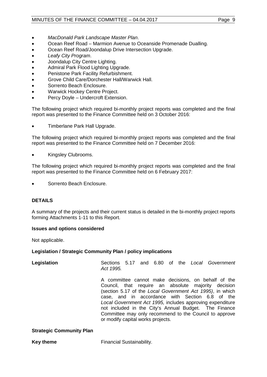## MINUTES OF THE FINANCE COMMITTEE - 04.04.2017 Page 9

- *MacDonald Park Landscape Master Plan*.
- Ocean Reef Road Marmion Avenue to Oceanside Promenade Dualling.
- Ocean Reef Road/Joondalup Drive Intersection Upgrade.
- *Leafy City Program*.
- Joondalup City Centre Lighting.
- Admiral Park Flood Lighting Upgrade.
- Penistone Park Facility Refurbishment.
- Grove Child Care/Dorchester Hall/Warwick Hall.
- Sorrento Beach Enclosure.
- Warwick Hockey Centre Project.
- Percy Doyle Undercroft Extension.

The following project which required bi-monthly project reports was completed and the final report was presented to the Finance Committee held on 3 October 2016:

• Timberlane Park Hall Upgrade.

The following project which required bi-monthly project reports was completed and the final report was presented to the Finance Committee held on 7 December 2016:

• Kingsley Clubrooms.

The following project which required bi-monthly project reports was completed and the final report was presented to the Finance Committee held on 6 February 2017:

• Sorrento Beach Enclosure.

## **DETAILS**

A summary of the projects and their current status is detailed in the bi-monthly project reports forming Attachments 1-11 to this Report.

#### **Issues and options considered**

Not applicable.

#### **Legislation / Strategic Community Plan / policy implications**

| Legislation | Act 1995.                         |  |  |  | Sections 5.17 and 6.80 of the Local Government                                                                                                                                                                                                                                                                                                                                                             |
|-------------|-----------------------------------|--|--|--|------------------------------------------------------------------------------------------------------------------------------------------------------------------------------------------------------------------------------------------------------------------------------------------------------------------------------------------------------------------------------------------------------------|
|             | or modify capital works projects. |  |  |  | A committee cannot make decisions, on behalf of the<br>Council, that require an absolute majority decision<br>(section 5.17 of the Local Government Act 1995), in which<br>case, and in accordance with Section 6.8 of the<br>Local Government Act 1995, includes approving expenditure<br>not included in the City's Annual Budget. The Finance<br>Committee may only recommend to the Council to approve |

#### **Strategic Community Plan**

**Key theme** Financial Sustainability.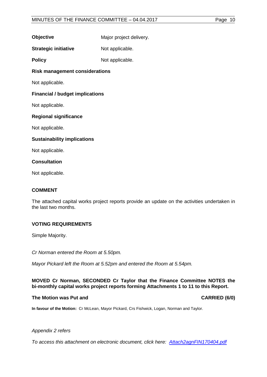**Objective** Major project delivery.

**Strategic initiative** Not applicable.

**Policy** Not applicable.

**Risk management considerations**

Not applicable.

## **Financial / budget implications**

Not applicable.

### **Regional significance**

Not applicable.

### **Sustainability implications**

Not applicable.

### **Consultation**

Not applicable.

## **COMMENT**

The attached capital works project reports provide an update on the activities undertaken in the last two months.

## **VOTING REQUIREMENTS**

Simple Majority.

*Cr Norman entered the Room at 5.50pm.* 

*Mayor Pickard left the Room at 5.52pm and entered the Room at 5.54pm.* 

### **MOVED Cr Norman, SECONDED Cr Taylor that the Finance Committee NOTES the bi-monthly capital works project reports forming Attachments 1 to 11 to this Report.**

## **The Motion was Put and CARRIED (6/0)**

**In favour of the Motion:** Cr McLean, Mayor Pickard, Crs Fishwick, Logan, Norman and Taylor.

#### *Appendix 2 refers*

*[To access this attachment on electronic document, click here: Attach2agnFIN170404.pdf](http://www.joondalup.wa.gov.au/files/committees/FINC/2017/Attach2agnFIN170404.pdf)*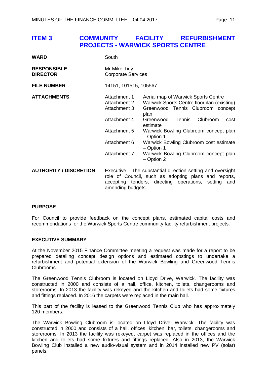**PROJECTS - WARWICK SPORTS CENTRE**

<span id="page-10-0"></span>

| <b>WARD</b>                           | South                                                                                                                                                                                               |                                                                                                                                                                                                                                                                                                                                                                    |  |
|---------------------------------------|-----------------------------------------------------------------------------------------------------------------------------------------------------------------------------------------------------|--------------------------------------------------------------------------------------------------------------------------------------------------------------------------------------------------------------------------------------------------------------------------------------------------------------------------------------------------------------------|--|
| <b>RESPONSIBLE</b><br><b>DIRECTOR</b> | Mr Mike Tidy<br><b>Corporate Services</b>                                                                                                                                                           |                                                                                                                                                                                                                                                                                                                                                                    |  |
| <b>FILE NUMBER</b>                    | 14151, 101515, 105567                                                                                                                                                                               |                                                                                                                                                                                                                                                                                                                                                                    |  |
| <b>ATTACHMENTS</b>                    | Attachment 1<br>Attachment 2<br>Attachment 3<br>Attachment 4<br>Attachment 5<br>Attachment 6<br>Attachment 7                                                                                        | Aerial map of Warwick Sports Centre<br>Warwick Sports Centre floorplan (existing)<br>Greenwood Tennis Clubroom concept<br>plan<br>Greenwood<br>Clubroom<br><b>Tennis</b><br>cost<br>estimate<br>Warwick Bowling Clubroom concept plan<br>- Option 1<br>Warwick Bowling Clubroom cost estimate<br>- Option 1<br>Warwick Bowling Clubroom concept plan<br>- Option 2 |  |
| <b>AUTHORITY / DISCRETION</b>         | Executive - The substantial direction setting and oversight<br>role of Council, such as adopting plans and reports,<br>accepting tenders, directing operations, setting<br>and<br>amending budgets. |                                                                                                                                                                                                                                                                                                                                                                    |  |

#### **PURPOSE**

For Council to provide feedback on the concept plans, estimated capital costs and recommendations for the Warwick Sports Centre community facility refurbishment projects.

#### **EXECUTIVE SUMMARY**

At the November 2015 Finance Committee meeting a request was made for a report to be prepared detailing concept design options and estimated costings to undertake a refurbishment and potential extension of the Warwick Bowling and Greenwood Tennis Clubrooms.

The Greenwood Tennis Clubroom is located on Lloyd Drive, Warwick. The facility was constructed in 2000 and consists of a hall, office, kitchen, toilets, changerooms and storerooms. In 2013 the facility was rekeyed and the kitchen and toilets had some fixtures and fittings replaced. In 2016 the carpets were replaced in the main hall.

This part of the facility is leased to the Greenwood Tennis Club who has approximately 120 members.

The Warwick Bowling Clubroom is located on Lloyd Drive, Warwick. The facility was constructed in 2000 and consists of a hall, offices, kitchen, bar, toilets, changerooms and storerooms. In 2013 the facility was rekeyed, carpet was replaced in the offices and the kitchen and toilets had some fixtures and fittings replaced. Also in 2013, the Warwick Bowling Club installed a new audio-visual system and in 2014 installed new PV (solar) panels.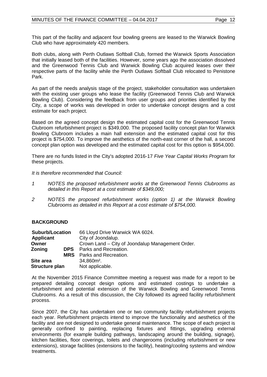This part of the facility and adjacent four bowling greens are leased to the Warwick Bowling Club who have approximately 420 members.

Both clubs, along with Perth Outlaws Softball Club, formed the Warwick Sports Association that initially leased both of the facilities. However, some years ago the association dissolved and the Greenwood Tennis Club and Warwick Bowling Club acquired leases over their respective parts of the facility while the Perth Outlaws Softball Club relocated to Penistone Park.

As part of the needs analysis stage of the project, stakeholder consultation was undertaken with the existing user groups who lease the facility (Greenwood Tennis Club and Warwick Bowling Club). Considering the feedback from user groups and priorities identified by the City, a scope of works was developed in order to undertake concept designs and a cost estimate for each project.

Based on the agreed concept design the estimated capital cost for the Greenwood Tennis Clubroom refurbishment project is \$349,000. The proposed facility concept plan for Warwick Bowling Clubroom includes a main hall extension and the estimated capital cost for this project is \$754,000. To improve the aesthetics of the north-east corner of the hall, a second concept plan option was developed and the estimated capital cost for this option is \$954,000.

There are no funds listed in the City's adopted 2016-17 *Five Year Capital Works Program* for these projects.

*It is therefore recommended that Council:*

- *1 NOTES the proposed refurbishment works at the Greenwood Tennis Clubrooms as detailed in this Report at a cost estimate of \$349,000;*
- *2 NOTES the proposed refurbishment works (option 1) at the Warwick Bowling Clubrooms as detailed in this Report at a cost estimate of \$754,000.*

#### **BACKGROUND**

| <b>Suburb/Location</b> | 66 Lloyd Drive Warwick WA 6024.                  |
|------------------------|--------------------------------------------------|
| Applicant              | City of Joondalup.                               |
| Owner                  | Crown Land – City of Joondalup Management Order. |
| Zoning                 | <b>DPS</b> Parks and Recreation.                 |
|                        | <b>MRS</b> Parks and Recreation.                 |
| Site area              | $34,860m2$ .                                     |
| Structure plan         | Not applicable.                                  |

At the November 2015 Finance Committee meeting a request was made for a report to be prepared detailing concept design options and estimated costings to undertake a refurbishment and potential extension of the Warwick Bowling and Greenwood Tennis Clubrooms. As a result of this discussion, the City followed its agreed facility refurbishment process.

Since 2007, the City has undertaken one or two community facility refurbishment projects each year. Refurbishment projects intend to improve the functionality and aesthetics of the facility and are not designed to undertake general maintenance. The scope of each project is generally confined to painting, replacing fixtures and fittings, upgrading external environments (for example building pathways, landscaping around the building, signage), kitchen facilities, floor coverings, toilets and changerooms (including refurbishment or new extensions), storage facilities (extensions to the facility), heating/cooling systems and window treatments.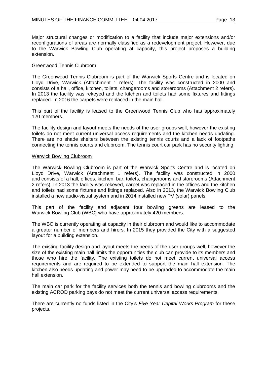Major structural changes or modification to a facility that include major extensions and/or reconfigurations of areas are normally classified as a redevelopment project. However, due to the Warwick Bowling Club operating at capacity, this project proposes a building extension.

#### Greenwood Tennis Clubroom

The Greenwood Tennis Clubroom is part of the Warwick Sports Centre and is located on Lloyd Drive, Warwick (Attachment 1 refers). The facility was constructed in 2000 and consists of a hall, office, kitchen, toilets, changerooms and storerooms (Attachment 2 refers). In 2013 the facility was rekeyed and the kitchen and toilets had some fixtures and fittings replaced. In 2016 the carpets were replaced in the main hall.

This part of the facility is leased to the Greenwood Tennis Club who has approximately 120 members.

The facility design and layout meets the needs of the user groups well, however the existing toilets do not meet current universal access requirements and the kitchen needs updating. There are no shade shelters between the existing tennis courts and a lack of footpaths connecting the tennis courts and clubroom. The tennis court car park has no security lighting.

#### Warwick Bowling Clubroom

The Warwick Bowling Clubroom is part of the Warwick Sports Centre and is located on Lloyd Drive, Warwick (Attachment 1 refers). The facility was constructed in 2000 and consists of a hall, offices, kitchen, bar, toilets, changerooms and storerooms (Attachment 2 refers). In 2013 the facility was rekeyed, carpet was replaced in the offices and the kitchen and toilets had some fixtures and fittings replaced. Also in 2013, the Warwick Bowling Club installed a new audio-visual system and in 2014 installed new PV (solar) panels.

This part of the facility and adjacent four bowling greens are leased to the Warwick Bowling Club (WBC) who have approximately 420 members.

The WBC is currently operating at capacity in their clubroom and would like to accommodate a greater number of members and hirers. In 2015 they provided the City with a suggested layout for a building extension.

The existing facility design and layout meets the needs of the user groups well, however the size of the existing main hall limits the opportunities the club can provide to its members and those who hire the facility. The existing toilets do not meet current universal access requirements and are required to be extended to support the main hall extension. The kitchen also needs updating and power may need to be upgraded to accommodate the main hall extension.

The main car park for the facility services both the tennis and bowling clubrooms and the existing ACROD parking bays do not meet the current universal access requirements.

There are currently no funds listed in the City's *Five Year Capital Works Program* for these projects.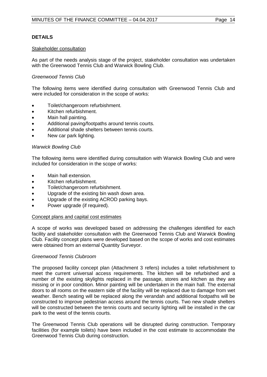#### Stakeholder consultation

As part of the needs analysis stage of the project, stakeholder consultation was undertaken with the Greenwood Tennis Club and Warwick Bowling Club.

#### *Greenwood Tennis Club*

The following items were identified during consultation with Greenwood Tennis Club and were included for consideration in the scope of works:

- Toilet/changeroom refurbishment.
- Kitchen refurbishment.
- Main hall painting.
- Additional paving/footpaths around tennis courts.
- Additional shade shelters between tennis courts.
- New car park lighting.

#### *Warwick Bowling Club*

The following items were identified during consultation with Warwick Bowling Club and were included for consideration in the scope of works:

- Main hall extension.
- Kitchen refurbishment.
- Toilet/changeroom refurbishment.
- Upgrade of the existing bin wash down area.
- Upgrade of the existing ACROD parking bays.
- Power upgrade (if required).

#### Concept plans and capital cost estimates

A scope of works was developed based on addressing the challenges identified for each facility and stakeholder consultation with the Greenwood Tennis Club and Warwick Bowling Club. Facility concept plans were developed based on the scope of works and cost estimates were obtained from an external Quantity Surveyor.

#### *Greenwood Tennis Clubroom*

The proposed facility concept plan (Attachment 3 refers) includes a toilet refurbishment to meet the current universal access requirements. The kitchen will be refurbished and a number of the existing skylights replaced in the passage, stores and kitchen as they are missing or in poor condition. Minor painting will be undertaken in the main hall. The external doors to all rooms on the eastern side of the facility will be replaced due to damage from wet weather. Bench seating will be replaced along the verandah and additional footpaths will be constructed to improve pedestrian access around the tennis courts. Two new shade shelters will be constructed between the tennis courts and security lighting will be installed in the car park to the west of the tennis courts.

The Greenwood Tennis Club operations will be disrupted during construction. Temporary facilities (for example toilets) have been included in the cost estimate to accommodate the Greenwood Tennis Club during construction.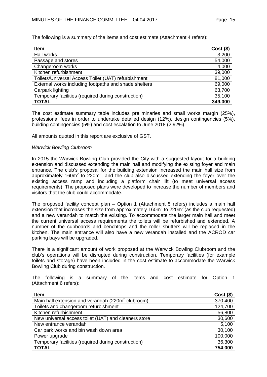The following is a summary of the items and cost estimate (Attachment 4 refers):

| <b>Item</b>                                           | $Cost($ \$) |
|-------------------------------------------------------|-------------|
| Hall works                                            | 3,200       |
| Passage and stores                                    | 54,000      |
| Changeroom works                                      | 4,000       |
| Kitchen refurbishment                                 | 39,000      |
| Toilets/Universal Access Toilet (UAT) refurbishment   | 81,000      |
| External works including footpaths and shade shelters | 69,000      |
| Carpark lighting                                      | 63,700      |
| Temporary facilities (required during construction)   | 35,100      |
| <b>TOTAL</b>                                          | 349,000     |

The cost estimate summary table includes preliminaries and small works margin (25%), professional fees in order to undertake detailed design (12%), design contingencies (5%), building contingencies (5%) and cost escalation to June 2018 (2.92%).

All amounts quoted in this report are exclusive of GST.

#### *Warwick Bowling Clubroom*

In 2015 the Warwick Bowling Club provided the City with a suggested layout for a building extension and discussed extending the main hall and modifying the existing foyer and main entrance. The club's proposal for the building extension increased the main hall size from approximately 160 $m^2$  to 220 $m^2$ , and the club also discussed extending the foyer over the existing access ramp and including a platform chair lift (to meet universal access requirements). The proposed plans were developed to increase the number of members and visitors that the club could accommodate.

The proposed facility concept plan – Option 1 (Attachment 5 refers) includes a main hall extension that increases the size from approximately  $160m^2$  to 220m<sup>2</sup> (as the club requested) and a new verandah to match the existing. To accommodate the larger main hall and meet the current universal access requirements the toilets will be refurbished and extended. A number of the cupboards and benchtops and the roller shutters will be replaced in the kitchen. The main entrance will also have a new verandah installed and the ACROD car parking bays will be upgraded.

There is a significant amount of work proposed at the Warwick Bowling Clubroom and the club's operations will be disrupted during construction. Temporary facilities (for example toilets and storage) have been included in the cost estimate to accommodate the Warwick Bowling Club during construction.

The following is a summary of the items and cost estimate for Option 1 (Attachment 6 refers):

| Item                                                          | $Cost($ \$) |
|---------------------------------------------------------------|-------------|
| Main hall extension and verandah (220m <sup>2</sup> clubroom) | 370,400     |
| Toilets and changeroom refurbishment                          | 124,700     |
| Kitchen refurbishment                                         | 56,800      |
| New universal access toilet (UAT) and cleaners store          | 30,600      |
| New entrance verandah                                         | 5,100       |
| Car park works and bin wash down area                         | 30,100      |
| Power upgrade                                                 | 100,000     |
| Temporary facilities (required during construction)           | 36,300      |
| <b>TOTAL</b>                                                  | 754,000     |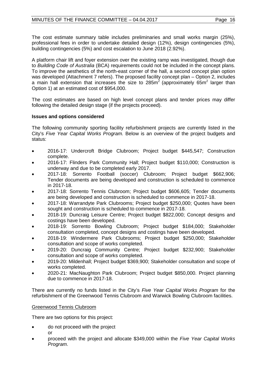The cost estimate summary table includes preliminaries and small works margin (25%), professional fees in order to undertake detailed design (12%), design contingencies (5%), building contingencies (5%) and cost escalation to June 2018 (2.92%).

A platform chair lift and foyer extension over the existing ramp was investigated, though due to *Building Code of Australia* (BCA) requirements could not be included in the concept plans. To improve the aesthetics of the north-east corner of the hall, a second concept plan option was developed (Attachment 7 refers). The proposed facility concept plan – Option 2, includes a main hall extension that increases the size to  $285m^2$  (approximately  $65m^2$  larger than Option 1) at an estimated cost of \$954,000.

The cost estimates are based on high level concept plans and tender prices may differ following the detailed design stage (if the projects proceed).

## **Issues and options considered**

The following community sporting facility refurbishment projects are currently listed in the City's *Five Year Capital Works Program.* Below is an overview of the project budgets and status:

- 2016-17: Undercroft Bridge Clubroom; Project budget \$445,547; Construction complete.
- 2016-17: Flinders Park Community Hall; Project budget \$110,000; Construction is underway and due to be completed early 2017.
- 2017-18: Sorrento Football (soccer) Clubroom; Project budget \$662,906; Tender documents are being developed and construction is scheduled to commence in 2017-18.
- 2017-18: Sorrento Tennis Clubroom; Project budget \$606,605; Tender documents are being developed and construction is scheduled to commence in 2017-18.
- 2017-18: Warrandyte Park Clubrooms; Project budget \$250,000; Quotes have been sought and construction is scheduled to commence in 2017-18.
- 2018-19: Duncraig Leisure Centre; Project budget \$822,000; Concept designs and costings have been developed.
- 2018-19: Sorrento Bowling Clubroom; Project budget \$184,000; Stakeholder consultation completed, concept designs and costings have been developed.
- 2018-19: Windermere Park Clubrooms; Project budget \$250,000; Stakeholder consultation and scope of works completed.
- 2019-20: Duncraig Community Centre; Project budget \$232,900; Stakeholder consultation and scope of works completed.
- 2019-20: Mildenhall; Project budget \$369,900; Stakeholder consultation and scope of works completed.
- 2020-21: MacNaughton Park Clubroom; Project budget \$850,000. Project planning due to commence in 2017-18.

There are currently no funds listed in the City's *Five Year Capital Works Program* for the refurbishment of the Greenwood Tennis Clubroom and Warwick Bowling Clubroom facilities.

#### Greenwood Tennis Clubroom

There are two options for this project:

- do not proceed with the project or
- proceed with the project and allocate \$349,000 within the *Five Year Capital Works Program*.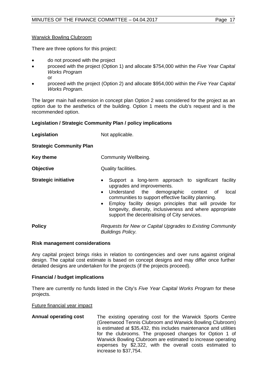#### Warwick Bowling Clubroom

There are three options for this project:

- do not proceed with the project
- proceed with the project (Option 1) and allocate \$754,000 within the *Five Year Capital Works Program* or
- proceed with the project (Option 2) and allocate \$954,000 within the *Five Year Capital Works Program*.

The larger main hall extension in concept plan Option 2 was considered for the project as an option due to the aesthetics of the building. Option 1 meets the club's request and is the recommended option.

#### **Legislation / Strategic Community Plan / policy implications**

| Legislation                     | Not applicable.                                                                                                                                                                                                                                                                                                                                                                                            |  |  |  |
|---------------------------------|------------------------------------------------------------------------------------------------------------------------------------------------------------------------------------------------------------------------------------------------------------------------------------------------------------------------------------------------------------------------------------------------------------|--|--|--|
| <b>Strategic Community Plan</b> |                                                                                                                                                                                                                                                                                                                                                                                                            |  |  |  |
| <b>Key theme</b>                | Community Wellbeing.                                                                                                                                                                                                                                                                                                                                                                                       |  |  |  |
| <b>Objective</b>                | Quality facilities.                                                                                                                                                                                                                                                                                                                                                                                        |  |  |  |
| <b>Strategic initiative</b>     | Support a long-term approach to significant facility<br>$\bullet$<br>upgrades and improvements.<br>Understand the demographic context of<br>local<br>$\bullet$<br>communities to support effective facility planning.<br>Employ facility design principles that will provide for<br>$\bullet$<br>longevity, diversity, inclusiveness and where appropriate<br>support the decentralising of City services. |  |  |  |
| <b>Policy</b>                   | Requests for New or Capital Upgrades to Existing Community<br><b>Buildings Policy.</b>                                                                                                                                                                                                                                                                                                                     |  |  |  |

#### **Risk management considerations**

Any capital project brings risks in relation to contingencies and over runs against original design. The capital cost estimate is based on concept designs and may differ once further detailed designs are undertaken for the projects (if the projects proceed).

#### **Financial / budget implications**

There are currently no funds listed in the City's *Five Year Capital Works Program* for these projects.

Future financial year impact

**Annual operating cost** The existing operating cost for the Warwick Sports Centre (Greenwood Tennis Clubroom and Warwick Bowling Clubroom) is estimated at \$35,432, this includes maintenance and utilities for the clubrooms. The proposed changes for Option 1 of Warwick Bowling Clubroom are estimated to increase operating expenses by \$2,322, with the overall costs estimated to increase to \$37,754.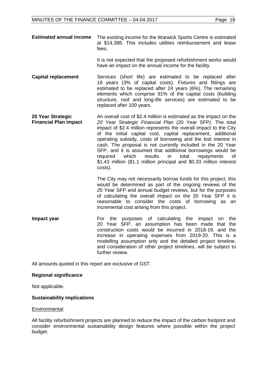**Estimated annual income** The existing income for the Warwick Sports Centre is estimated at \$14,388. This includes utilities reimbursement and lease fees.

> It is not expected that the proposed refurbishment works would have an impact on the annual income for the facility.

- **Capital replacement** Services (short life) are estimated to be replaced after 16 years (3% of capital costs). Fixtures and fittings are estimated to be replaced after 24 years (6%). The remaining elements which comprise 91% of the capital costs (building structure, roof and long-life services) are estimated to be replaced after 100 years.
- **20 Year Strategic Financial Plan impact**  An overall cost of \$2.4 million is estimated as the impact on the *20 Year Strategic Financial Plan* (20 Year SFP*)*. The total impact of \$2.4 million represents the overall impact to the City of the initial capital cost, capital replacement, additional operating subsidy, costs of borrowing and the lost interest in cash. The proposal is not currently included in the 20 Year SFP, and it is assumed that additional borrowings would be required which results in total repayments of which results in total repayments of \$1.43 million (\$1.1 million principal and \$0.33 million interest costs).

The City may not necessarily borrow funds for this project, this would be determined as part of the ongoing reviews of the *2*0 Year SFP and annual budget reviews, but for the purposes of calculating the overall impact on the 20 Year SFP it is reasonable to consider the costs of borrowing as an incremental cost arising from this project.

**Impact year For the purposes of calculating the impact on the** 20 Year SFP, an assumption has been made that the construction costs would be incurred in 2018-19, and the increase in operating expenses from 2019-20. This is a modelling assumption only and the detailed project timeline, and consideration of other project timelines, will be subject to further review.

All amounts quoted in this report are exclusive of GST.

#### **Regional significance**

Not applicable.

#### **Sustainability implications**

#### **Environmental**

All facility refurbishment projects are planned to reduce the impact of the carbon footprint and consider environmental sustainability design features where possible within the project budget.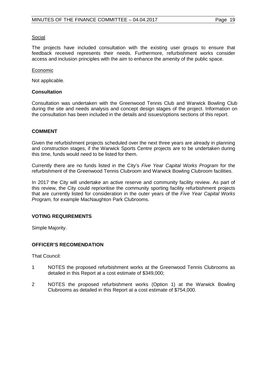#### Social

The projects have included consultation with the existing user groups to ensure that feedback received represents their needs. Furthermore, refurbishment works consider access and inclusion principles with the aim to enhance the amenity of the public space.

#### Economic

Not applicable.

#### **Consultation**

Consultation was undertaken with the Greenwood Tennis Club and Warwick Bowling Club during the site and needs analysis and concept design stages of the project. Information on the consultation has been included in the details and issues/options sections of this report.

#### **COMMENT**

Given the refurbishment projects scheduled over the next three years are already in planning and construction stages, if the Warwick Sports Centre projects are to be undertaken during this time, funds would need to be listed for them.

Currently there are no funds listed in the City's *Five Year Capital Works Program* for the refurbishment of the Greenwood Tennis Clubroom and Warwick Bowling Clubroom facilities.

In 2017 the City will undertake an active reserve and community facility review. As part of this review, the City could reprioritise the community sporting facility refurbishment projects that are currently listed for consideration in the outer years of the *Five Year Capital Works Program,* for example MacNaughton Park Clubrooms.

#### **VOTING REQUIREMENTS**

Simple Majority.

#### **OFFICER'S RECOMENDATION**

That Council:

- 1 NOTES the proposed refurbishment works at the Greenwood Tennis Clubrooms as detailed in this Report at a cost estimate of \$349,000;
- 2 NOTES the proposed refurbishment works (Option 1) at the Warwick Bowling Clubrooms as detailed in this Report at a cost estimate of \$754,000.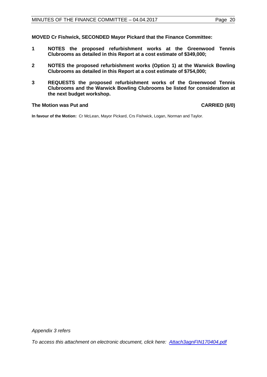**MOVED Cr Fishwick, SECONDED Mayor Pickard that the Finance Committee:** 

- **1 NOTES the proposed refurbishment works at the Greenwood Tennis Clubrooms as detailed in this Report at a cost estimate of \$349,000;**
- **2 NOTES the proposed refurbishment works (Option 1) at the Warwick Bowling Clubrooms as detailed in this Report at a cost estimate of \$754,000;**
- **3 REQUESTS the proposed refurbishment works of the Greenwood Tennis Clubrooms and the Warwick Bowling Clubrooms be listed for consideration at the next budget workshop.**

#### **The Motion was Put and CARRIED (6/0)**

**In favour of the Motion:** Cr McLean, Mayor Pickard, Crs Fishwick, Logan, Norman and Taylor.

*[To access this attachment on electronic document, click here: Attach3agnFIN170404.pdf](http://www.joondalup.wa.gov.au/files/committees/FINC/2017/Attach3agnFIN170404.pdf)*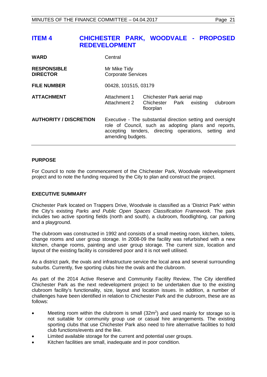## <span id="page-20-0"></span>**ITEM 4 CHICHESTER PARK, WOODVALE - PROPOSED REDEVELOPMENT**

| <b>WARD</b>                           | Central                                                                                                                                                                                          |                                                                                 |  |
|---------------------------------------|--------------------------------------------------------------------------------------------------------------------------------------------------------------------------------------------------|---------------------------------------------------------------------------------|--|
| <b>RESPONSIBLE</b><br><b>DIRECTOR</b> | Mr Mike Tidy<br><b>Corporate Services</b>                                                                                                                                                        |                                                                                 |  |
| <b>FILE NUMBER</b>                    | 00428, 101515, 03179                                                                                                                                                                             |                                                                                 |  |
| <b>ATTACHMENT</b>                     | Attachment 1<br>Attachment 2                                                                                                                                                                     | Chichester Park aerial map<br>clubroom<br>Chichester Park existing<br>floorplan |  |
| <b>AUTHORITY / DISCRETION</b>         | Executive - The substantial direction setting and oversight<br>role of Council, such as adopting plans and reports,<br>accepting tenders, directing operations, setting and<br>amending budgets. |                                                                                 |  |

#### **PURPOSE**

For Council to note the commencement of the Chichester Park, Woodvale redevelopment project and to note the funding required by the City to plan and construct the project.

#### **EXECUTIVE SUMMARY**

Chichester Park located on Trappers Drive, Woodvale is classified as a 'District Park' within the City's existing *Parks and Public Open Spaces Classification Framework.* The park includes two active sporting fields (north and south), a clubroom, floodlighting, car parking and a playground.

The clubroom was constructed in 1992 and consists of a small meeting room, kitchen, toilets, change rooms and user group storage. In 2008-09 the facility was refurbished with a new kitchen, change rooms, painting and user group storage. The current size, location and layout of the existing facility is considered poor and it is not well utilised.

As a district park, the ovals and infrastructure service the local area and several surrounding suburbs. Currently, five sporting clubs hire the ovals and the clubroom.

As part of the 2014 Active Reserve and Community Facility Review, The City identified Chichester Park as the next redevelopment project to be undertaken due to the existing clubroom facility's functionality, size, layout and location issues. In addition, a number of challenges have been identified in relation to Chichester Park and the clubroom, these are as follows:

- Meeting room within the clubroom is small  $(32m^2)$  and used mainly for storage so is not suitable for community group use or casual hire arrangements. The existing sporting clubs that use Chichester Park also need to hire alternative facilities to hold club functions/events and the like.
- Limited available storage for the current and potential user groups.
- Kitchen facilities are small, inadequate and in poor condition.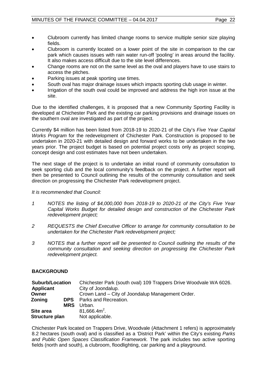- Clubroom currently has limited change rooms to service multiple senior size playing fields.
- Clubroom is currently located on a lower point of the site in comparison to the car park which causes issues with rain water run-off 'pooling' in areas around the facility. It also makes access difficult due to the site level differences.
- Change rooms are not on the same level as the oval and players have to use stairs to access the pitches.
- Parking issues at peak sporting use times.
- South oval has major drainage issues which impacts sporting club usage in winter.
- Irrigation of the south oval could be improved and address the high iron issue at the site.

Due to the identified challenges, it is proposed that a new Community Sporting Facility is developed at Chichester Park and the existing car parking provisions and drainage issues on the southern oval are investigated as part of the project.

Currently \$4 million has been listed from 2018-19 to 2020-21 of the City's *Five Year Capital Works Program* for the redevelopment of Chichester Park. Construction is proposed to be undertaken in 2020-21 with detailed design and forward works to be undertaken in the two years prior. The project budget is based on potential project costs only as project scoping, concept design and cost estimates have not been undertaken.

The next stage of the project is to undertake an initial round of community consultation to seek sporting club and the local community's feedback on the project. A further report will then be presented to Council outlining the results of the community consultation and seek direction on progressing the Chichester Park redevelopment project.

#### *It is recommended that Council:*

- *1 NOTES the listing of \$4,000,000 from 2018-19 to 2020-21 of the City's Five Year Capital Works Budget for detailed design and construction of the Chichester Park redevelopment project;*
- *2 REQUESTS the Chief Executive Officer to arrange for community consultation to be undertaken for the Chichester Park redevelopment project;*
- *3 NOTES that a further report will be presented to Council outlining the results of the community consultation and seeking direction on progressing the Chichester Park redevelopment project.*

#### **BACKGROUND**

| <b>Suburb/Location</b> | Chichester Park (south oval) 109 Trappers Drive Woodvale WA 6026. |
|------------------------|-------------------------------------------------------------------|
| <b>Applicant</b>       | City of Joondalup.                                                |
| Owner                  | Crown Land – City of Joondalup Management Order.                  |
| Zoning<br><b>DPS</b>   | Parks and Recreation.                                             |
| <b>MRS</b>             | Urban.                                                            |
| Site area              | $81,666.4m^2$ .                                                   |
| Structure plan         | Not applicable.                                                   |

Chichester Park located on Trappers Drive, Woodvale (Attachment 1 refers) is approximately 8.2 hectares (south oval) and is classified as a 'District Park' within the City's existing *Parks and Public Open Spaces Classification Framework.* The park includes two active sporting fields (north and south), a clubroom, floodlighting, car parking and a playground.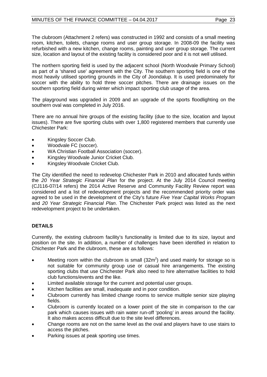The clubroom (Attachment 2 refers) was constructed in 1992 and consists of a small meeting room, kitchen, toilets, change rooms and user group storage. In 2008-09 the facility was refurbished with a new kitchen, change rooms, painting and user group storage. The current size, location and layout of the existing facility is considered poor and it is not well utilised.

The northern sporting field is used by the adjacent school (North Woodvale Primary School) as part of a 'shared use' agreement with the City. The southern sporting field is one of the most heavily utilised sporting grounds in the City of Joondalup. It is used predominately for soccer with the ability to hold three soccer pitches. There are drainage issues on the southern sporting field during winter which impact sporting club usage of the area.

The playground was upgraded in 2009 and an upgrade of the sports floodlighting on the southern oval was completed in July 2016.

There are no annual hire groups of the existing facility (due to the size, location and layout issues). There are five sporting clubs with over 1,800 registered members that currently use Chichester Park:

- Kingsley Soccer Club.
- Woodvale FC (soccer).
- WA Christian Football Association (soccer).
- Kingsley Woodvale Junior Cricket Club.
- Kingsley Woodvale Cricket Club.

The City identified the need to redevelop Chichester Park in 2010 and allocated funds within the *20 Year Strategic Financial Plan* for the project. At the July 2014 Council meeting (CJ116-07/14 refers) the 2014 Active Reserve and Community Facility Review report was considered and a list of redevelopment projects and the recommended priority order was agreed to be used in the development of the City's future *Five Year Capital Works Program* and *20 Year Strategic Financial Plan*. The Chichester Park project was listed as the next redevelopment project to be undertaken.

## **DETAILS**

Currently, the existing clubroom facility's functionality is limited due to its size, layout and position on the site. In addition, a number of challenges have been identified in relation to Chichester Park and the clubroom, these are as follows:

- Meeting room within the clubroom is small  $(32m^2)$  and used mainly for storage so is not suitable for community group use or casual hire arrangements. The existing sporting clubs that use Chichester Park also need to hire alternative facilities to hold club functions/events and the like.
- Limited available storage for the current and potential user groups.
- Kitchen facilities are small, inadequate and in poor condition.
- Clubroom currently has limited change rooms to service multiple senior size playing fields.
- Clubroom is currently located on a lower point of the site in comparison to the car park which causes issues with rain water run-off 'pooling' in areas around the facility. It also makes access difficult due to the site level differences.
- Change rooms are not on the same level as the oval and players have to use stairs to access the pitches.
- Parking issues at peak sporting use times.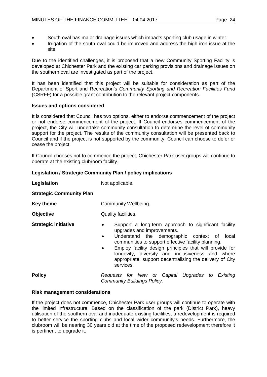- South oval has major drainage issues which impacts sporting club usage in winter.
- Irrigation of the south oval could be improved and address the high iron issue at the site.

Due to the identified challenges, it is proposed that a new Community Sporting Facility is developed at Chichester Park and the existing car parking provisions and drainage issues on the southern oval are investigated as part of the project.

It has been identified that this project will be suitable for consideration as part of the Department of Sport and Recreation's *Community Sporting and Recreation Facilities Fund* (CSRFF) for a possible grant contribution to the relevant project components.

### **Issues and options considered**

It is considered that Council has two options, either to endorse commencement of the project or not endorse commencement of the project. If Council endorses commencement of the project, the City will undertake community consultation to determine the level of community support for the project. The results of the community consultation will be presented back to Council and if the project is not supported by the community, Council can choose to defer or cease the project.

If Council chooses not to commence the project, Chichester Park user groups will continue to operate at the existing clubroom facility.

### **Legislation / Strategic Community Plan / policy implications**

| Legislation                     | Not applicable.                                                                                                                                                                                                                                                                                                                                                                                            |  |  |  |
|---------------------------------|------------------------------------------------------------------------------------------------------------------------------------------------------------------------------------------------------------------------------------------------------------------------------------------------------------------------------------------------------------------------------------------------------------|--|--|--|
| <b>Strategic Community Plan</b> |                                                                                                                                                                                                                                                                                                                                                                                                            |  |  |  |
| <b>Key theme</b>                | Community Wellbeing.                                                                                                                                                                                                                                                                                                                                                                                       |  |  |  |
| <b>Objective</b>                | Quality facilities.                                                                                                                                                                                                                                                                                                                                                                                        |  |  |  |
| <b>Strategic initiative</b>     | Support a long-term approach to significant facility<br>٠<br>upgrades and improvements.<br>Understand the demographic context of<br>local<br>$\bullet$<br>communities to support effective facility planning.<br>Employ facility design principles that will provide for<br>٠<br>longevity, diversity and inclusiveness and where<br>appropriate, support decentralising the delivery of City<br>services. |  |  |  |
| <b>Policy</b>                   | Requests for New or Capital Upgrades to Existing<br><b>Community Buildings Policy.</b>                                                                                                                                                                                                                                                                                                                     |  |  |  |

#### **Risk management considerations**

If the project does not commence, Chichester Park user groups will continue to operate with the limited infrastructure. Based on the classification of the park (District Park), heavy utilisation of the southern oval and inadequate existing facilities, a redevelopment is required to better service the sporting clubs and local wider community's needs. Furthermore, the clubroom will be nearing 30 years old at the time of the proposed redevelopment therefore it is pertinent to upgrade it.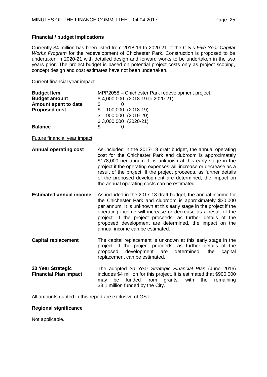#### **Financial / budget implications**

Currently \$4 million has been listed from 2018-19 to 2020-21 of the City's *Five Year Capital Works Program* for the redevelopment of Chichester Park. Construction is proposed to be undertaken in 2020-21 with detailed design and forward works to be undertaken in the two years prior. The project budget is based on potential project costs only as project scoping, concept design and cost estimates have not been undertaken.

#### Current financial year impact

| <b>Budget Item</b>   | MPP2058 – Chichester Park redevelopment project. |                   |  |  |  |
|----------------------|--------------------------------------------------|-------------------|--|--|--|
| <b>Budget amount</b> | \$4,000,000 (2018-19 to 2020-21)                 |                   |  |  |  |
| Amount spent to date | \$.                                              |                   |  |  |  |
| <b>Proposed cost</b> |                                                  | 100,000 (2018-19) |  |  |  |
|                      | \$.                                              | 900,000 (2019-20) |  |  |  |
|                      | $$3,000,000 (2020-21)$                           |                   |  |  |  |
| <b>Balance</b>       |                                                  |                   |  |  |  |

Future financial year impact

- **Annual operating cost** As included in the 2017-18 draft budget, the annual operating cost for the Chichester Park and clubroom is approximately \$178,000 per annum. It is unknown at this early stage in the project if the operating expenses will increase or decrease as a result of the project. If the project proceeds, as further details of the proposed development are determined, the impact on the annual operating costs can be estimated.
- **Estimated annual income** As included in the 2017-18 draft budget, the annual income for the Chichester Park and clubroom is approximately \$30,000 per annum. It is unknown at this early stage in the project if the operating income will increase or decrease as a result of the project. If the project proceeds, as further details of the proposed development are determined, the impact on the annual income can be estimated.
- **Capital replacement** The capital replacement is unknown at this early stage in the project. If the project proceeds, as further details of the proposed development are determined, the capital replacement can be estimated.
- **20 Year Strategic Financial Plan impact**  The adopted *20 Year Strategic Financial Plan* (June 2016) includes \$4 million for this project. It is estimated that \$900,000 may be funded from grants, with the remaining \$3.1 million funded by the City.

All amounts quoted in this report are exclusive of GST.

#### **Regional significance**

Not applicable.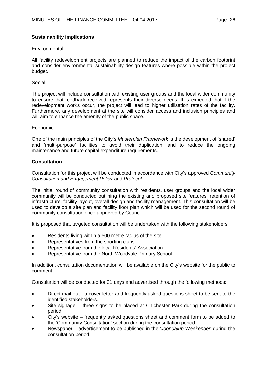### **Sustainability implications**

#### **Environmental**

All facility redevelopment projects are planned to reduce the impact of the carbon footprint and consider environmental sustainability design features where possible within the project budget.

#### Social

The project will include consultation with existing user groups and the local wider community to ensure that feedback received represents their diverse needs. It is expected that if the redevelopment works occur, the project will lead to higher utilisation rates of the facility. Furthermore, any development at the site will consider access and inclusion principles and will aim to enhance the amenity of the public space.

#### Economic

One of the main principles of the City's *Masterplan Framework* is the development of 'shared' and 'multi-purpose' facilities to avoid their duplication, and to reduce the ongoing maintenance and future capital expenditure requirements.

#### **Consultation**

Consultation for this project will be conducted in accordance with City's approved *Community Consultation and Engagement Policy* and *Protocol.*

The initial round of community consultation with residents, user groups and the local wider community will be conducted outlining the existing and proposed site features, retention of infrastructure, facility layout, overall design and facility management. This consultation will be used to develop a site plan and facility floor plan which will be used for the second round of community consultation once approved by Council.

It is proposed that targeted consultation will be undertaken with the following stakeholders:

- Residents living within a 500 metre radius of the site.
- Representatives from the sporting clubs.
- Representative from the local Residents' Association.
- Representative from the North Woodvale Primary School.

In addition, consultation documentation will be available on the City's website for the public to comment.

Consultation will be conducted for 21 days and advertised through the following methods:

- Direct mail out a cover letter and frequently asked questions sheet to be sent to the identified stakeholders.
- Site signage three signs to be placed at Chichester Park during the consultation period.
- City's website frequently asked questions sheet and comment form to be added to the 'Community Consultation' section during the consultation period.
- Newspaper advertisement to be published in the *'Joondalup Weekender'* during the consultation period.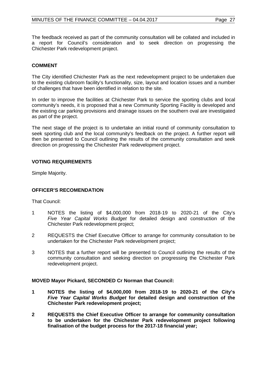The feedback received as part of the community consultation will be collated and included in a report for Council's consideration and to seek direction on progressing the Chichester Park redevelopment project.

## **COMMENT**

The City identified Chichester Park as the next redevelopment project to be undertaken due to the existing clubroom facility's functionality, size, layout and location issues and a number of challenges that have been identified in relation to the site.

In order to improve the facilities at Chichester Park to service the sporting clubs and local community's needs, it is proposed that a new Community Sporting Facility is developed and the existing car parking provisions and drainage issues on the southern oval are investigated as part of the project.

The next stage of the project is to undertake an initial round of community consultation to seek sporting club and the local community's feedback on the project. A further report will then be presented to Council outlining the results of the community consultation and seek direction on progressing the Chichester Park redevelopment project.

### **VOTING REQUIREMENTS**

Simple Majority.

## **OFFICER'S RECOMENDATION**

That Council:

- 1 NOTES the listing of \$4,000,000 from 2018-19 to 2020-21 of the City's *Five Year Capital Works Budget* for detailed design and construction of the Chichester Park redevelopment project;
- 2 REQUESTS the Chief Executive Officer to arrange for community consultation to be undertaken for the Chichester Park redevelopment project;
- 3 NOTES that a further report will be presented to Council outlining the results of the community consultation and seeking direction on progressing the Chichester Park redevelopment project.

#### **MOVED Mayor Pickard, SECONDED Cr Norman that Council:**

- **1 NOTES the listing of \$4,000,000 from 2018-19 to 2020-21 of the City's**  *Five Year Capital Works Budget* **for detailed design and construction of the Chichester Park redevelopment project;**
- **2 REQUESTS the Chief Executive Officer to arrange for community consultation to be undertaken for the Chichester Park redevelopment project following finalisation of the budget process for the 2017-18 financial year;**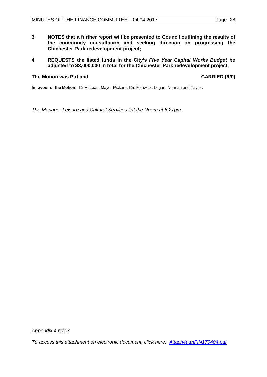- **3 NOTES that a further report will be presented to Council outlining the results of the community consultation and seeking direction on progressing the Chichester Park redevelopment project;**
- **4 REQUESTS the listed funds in the City's** *Five Year Capital Works Budget* **be adjusted to \$3,000,000 in total for the Chichester Park redevelopment project.**

#### **The Motion was Put and CARRIED (6/0)**

**In favour of the Motion:** Cr McLean, Mayor Pickard, Crs Fishwick, Logan, Norman and Taylor.

*The Manager Leisure and Cultural Services left the Room at 6.27pm.* 

*Appendix 4 refers*

*[To access this attachment on electronic document, click here: Attach4agnFIN170404.pdf](http://www.joondalup.wa.gov.au/files/committees/FINC/2017/Attach4agnFIN170404.pdf)*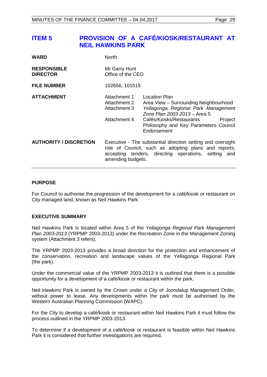## <span id="page-28-0"></span>**ITEM 5 PROVISION OF A CAFÉ/KIOSK/RESTAURANT AT NEIL HAWKINS PARK**

| <b>WARD</b>                           | North                                                                                                                                                                                            |                                                                                                                                                                                                                              |  |  |  |
|---------------------------------------|--------------------------------------------------------------------------------------------------------------------------------------------------------------------------------------------------|------------------------------------------------------------------------------------------------------------------------------------------------------------------------------------------------------------------------------|--|--|--|
| <b>RESPONSIBLE</b><br><b>DIRECTOR</b> | Mr Garry Hunt<br>Office of the CEO                                                                                                                                                               |                                                                                                                                                                                                                              |  |  |  |
| <b>FILE NUMBER</b>                    | 102656, 101515                                                                                                                                                                                   |                                                                                                                                                                                                                              |  |  |  |
| <b>ATTACHMENT</b>                     | Attachment 1<br>Attachment 2<br>Attachment 3<br>Attachment 4                                                                                                                                     | Location Plan<br>Area View - Surrounding Neighbourhood<br>Yellagonga Regional Park Management<br>Zone Plan 2003-2013 - Area 5<br>Cafés/Kiosks/Restaurants<br>Project<br>Philosophy and Key Parameters Council<br>Endorsement |  |  |  |
| <b>AUTHORITY / DISCRETION</b>         | Executive - The substantial direction setting and oversight<br>role of Council, such as adopting plans and reports,<br>accepting tenders, directing operations, setting and<br>amending budgets. |                                                                                                                                                                                                                              |  |  |  |

#### **PURPOSE**

For Council to authorise the progression of the development for a café/kiosk or restaurant on City managed land, known as Neil Hawkins Park.

#### **EXECUTIVE SUMMARY**

Neil Hawkins Park is located within Area 5 of the *Yellagonga Regional Park Management Plan 2003-2013* (YRPMP 2003-2013) under the Recreation Zone in the Management Zoning system (Attachment 3 refers).

The YRPMP 2003-2013 provides a broad direction for the protection and enhancement of the conservation, recreation and landscape values of the Yellagonga Regional Park (the park).

Under the commercial value of the YRPMP 2003-2013 it is outlined that there is a possible opportunity for a development of a café/kiosk or restaurant within the park.

Neil Hawkins Park is owned by the Crown under a City of Joondalup Management Order, without power to lease. Any developments within the park must be authorised by the Western Australian Planning Commission (WAPC).

For the City to develop a café/kiosk or restaurant within Neil Hawkins Park it must follow the process outlined in the YRPMP 2003-2013.

To determine if a development of a café/kiosk or restaurant is feasible within Neil Hawkins Park it is considered that further investigations are required.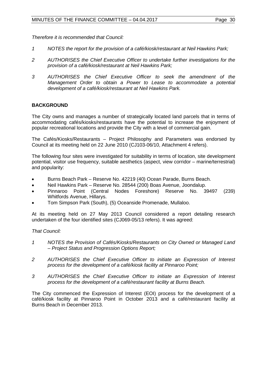*Therefore it is recommended that Council:*

- *1 NOTES the report for the provision of a café/kiosk/restaurant at Neil Hawkins Park;*
- *2 AUTHORISES the Chief Executive Officer to undertake further investigations for the provision of a café/kiosk/restaurant at Neil Hawkins Park;*
- *3 AUTHORISES the Chief Executive Officer to seek the amendment of the Management Order to obtain a Power to Lease to accommodate a potential development of a café/kiosk/restaurant at Neil Hawkins Park.*

### **BACKGROUND**

The City owns and manages a number of strategically located land parcels that in terms of accommodating cafés/kiosks/restaurants have the potential to increase the enjoyment of popular recreational locations and provide the City with a level of commercial gain.

The Cafés/Kiosks/Restaurants – Project Philosophy and Parameters was endorsed by Council at its meeting held on 22 June 2010 (CJ103-06/10, Attachment 4 refers).

The following four sites were investigated for suitability in terms of location, site development potential, visitor use frequency, suitable aesthetics (aspect, view corridor – marine/terrestrial) and popularity:

- Burns Beach Park Reserve No. 42219 (40) Ocean Parade, Burns Beach.
- Neil Hawkins Park Reserve No. 28544 (200) Boas Avenue, Joondalup.
- Pinnaroo Point (Central Nodes Foreshore) Reserve No. 39497 (239) Whitfords Avenue, Hillarys.
- Tom Simpson Park (South), (5) Oceanside Promenade, Mullaloo.

At its meeting held on 27 May 2013 Council considered a report detailing research undertaken of the four identified sites (CJ069-05/13 refers). It was agreed:

*That Council:*

- *1 NOTES the Provision of Cafés/Kiosks/Restaurants on City Owned or Managed Land – Project Status and Progression Options Report;*
- *2 AUTHORISES the Chief Executive Officer to initiate an Expression of Interest process for the development of a café/kiosk facility at Pinnaroo Point;*
- *3 AUTHORISES the Chief Executive Officer to initiate an Expression of Interest process for the development of a café/restaurant facility at Burns Beach.*

The City commenced the Expression of Interest (EOI) process for the development of a café/kiosk facility at Pinnaroo Point in October 2013 and a café/restaurant facility at Burns Beach in December 2013.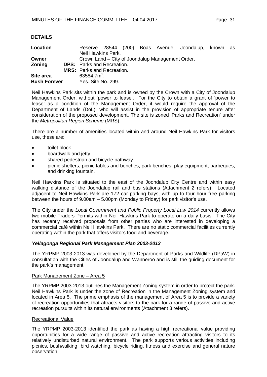## **DETAILS**

| Location                                  |                                   |                                   |  |  |  |                                                  | Reserve 28544 (200) Boas Avenue, Joondalup, known as |  |  |
|-------------------------------------------|-----------------------------------|-----------------------------------|--|--|--|--------------------------------------------------|------------------------------------------------------|--|--|
|                                           |                                   | Neil Hawkins Park.                |  |  |  |                                                  |                                                      |  |  |
| Owner                                     |                                   |                                   |  |  |  | Crown Land – City of Joondalup Management Order. |                                                      |  |  |
| Zoning                                    | <b>DPS:</b> Parks and Recreation. |                                   |  |  |  |                                                  |                                                      |  |  |
|                                           |                                   | <b>MRS:</b> Parks and Recreation. |  |  |  |                                                  |                                                      |  |  |
| Site area                                 |                                   | 63584.7 $m^2$ .                   |  |  |  |                                                  |                                                      |  |  |
| <b>Bush Forever</b><br>Yes. Site No. 299. |                                   |                                   |  |  |  |                                                  |                                                      |  |  |

Neil Hawkins Park sits within the park and is owned by the Crown with a City of Joondalup Management Order, without 'power to lease'. For the City to obtain a grant of 'power to lease' as a condition of the Management Order, it would require the approval of the Department of Lands (DoL), who will assist in the provision of appropriate tenure after consideration of the proposed development. The site is zoned 'Parks and Recreation' under the *Metropolitan Region Scheme* (MRS).

There are a number of amenities located within and around Neil Hawkins Park for visitors use, these are:

- toilet block
- boardwalk and jetty
- shared pedestrian and bicycle pathway
- picnic shelters, picnic tables and benches, park benches, play equipment, barbeques, and drinking fountain.

Neil Hawkins Park is situated to the east of the Joondalup City Centre and within easy walking distance of the Joondalup rail and bus stations (Attachment 2 refers). Located adjacent to Neil Hawkins Park are 172 car parking bays, with up to four hour free parking between the hours of 9.00am – 5.00pm (Monday to Friday) for park visitor's use.

The City under the *Local Government and Public Property Local Law 2014* currently allows two mobile Traders Permits within Neil Hawkins Park to operate on a daily basis. The City has recently received proposals from other parties who are interested in developing a commercial café within Neil Hawkins Park. There are no static commercial facilities currently operating within the park that offers visitors food and beverage.

#### *Yellagonga Regional Park Management Plan 2003-2013*

The YRPMP 2003-2013 was developed by the Department of Parks and Wildlife (DPaW) in consultation with the Cities of Joondalup and Wanneroo and is still the guiding document for the park's management.

#### Park Management Zone – Area 5

The YRPMP 2003-2013 outlines the Management Zoning system in order to protect the park. Neil Hawkins Park is under the zone of Recreation in the Management Zoning system and located in Area 5. The prime emphasis of the management of Area 5 is to provide a variety of recreation opportunities that attracts visitors to the park for a range of passive and active recreation pursuits within its natural environments (Attachment 3 refers).

#### Recreational Value

The YRPMP 2003-2013 identified the park as having a high recreational value providing opportunities for a wide range of passive and active recreation attracting visitors to its relatively undisturbed natural environment. The park supports various activities including picnics, bushwalking, bird watching, bicycle riding, fitness and exercise and general nature observation.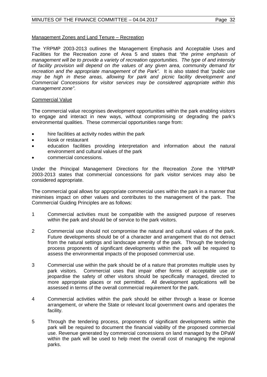### Management Zones and Land Tenure – Recreation

The YRPMP 2003-2013 outlines the Management Emphasis and Acceptable Uses and Facilities for the Recreation zone of Area 5 and states that *"the prime emphasis of management will be to provide a variety of recreation opportunities. The type of and intensity of facility provision will depend on the values of any given area, community demand for recreation and the appropriate management of the Park".* It is also stated that *"public use may be high in these areas, allowing for park and picnic facility development and Commercial Concessions for visitor services may be considered appropriate within this management zone"*.

#### Commercial Value

The commercial value recognises development opportunities within the park enabling visitors to engage and interact in new ways, without compromising or degrading the park's environmental qualities. These commercial opportunities range from:

- hire facilities at activity nodes within the park
- kiosk or restaurant
- education facilities providing interpretation and information about the natural environment and cultural values of the park
- commercial concessions.

Under the Principal Management Directions for the Recreation Zone the YRPMP 2003-2013 states that commercial concessions for park visitor services may also be considered appropriate.

The commercial goal allows for appropriate commercial uses within the park in a manner that minimises impact on other values and contributes to the management of the park. The Commercial Guiding Principles are as follows:

- 1 Commercial activities must be compatible with the assigned purpose of reserves within the park and should be of service to the park visitors.
- 2 Commercial use should not compromise the natural and cultural values of the park. Future developments should be of a character and arrangement that do not detract from the natural settings and landscape amenity of the park. Through the tendering process proponents of significant developments within the park will be required to assess the environmental impacts of the proposed commercial use.
- 3 Commercial use within the park should be of a nature that promotes multiple uses by park visitors. Commercial uses that impair other forms of acceptable use or jeopardise the safety of other visitors should be specifically managed, directed to more appropriate places or not permitted. All development applications will be assessed in terms of the overall commercial requirement for the park.
- 4 Commercial activities within the park should be either through a lease or license arrangement, or where the State or relevant local government owns and operates the facility.
- 5 Through the tendering process, proponents of significant developments within the park will be required to document the financial viability of the proposed commercial use. Revenue generated by commercial concessions on land managed by the DPaW within the park will be used to help meet the overall cost of managing the regional parks.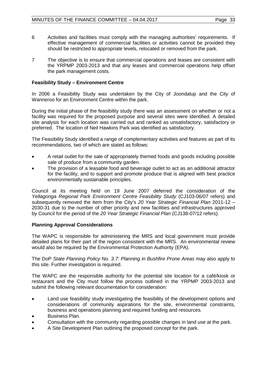- 6 Activities and facilities must comply with the managing authorities' requirements. If effective management of commercial facilities or activities cannot be provided they should be restricted to appropriate levels, relocated or removed from the park.
- 7 The objective is to ensure that commercial operations and leases are consistent with the YRPMP 2003-2013 and that any leases and commercial operations help offset the park management costs.

## **Feasibility Study – Environment Centre**

In 2006 a Feasibility Study was undertaken by the City of Joondalup and the City of Wanneroo for an Environment Centre within the park.

During the initial phase of the feasibility study there was an assessment on whether or not a facility was required for the proposed purpose and several sites were identified. A detailed site analysis for each location was carried out and ranked as unsatisfactory, satisfactory or preferred. The location of Neil Hawkins Park was identified as satisfactory.

The Feasibility Study identified a range of complementary activities and features as part of its recommendations, two of which are stated as follows:

- A retail outlet for the sale of appropriately themed foods and goods including possible sale of produce from a community garden.
- The provision of a leasable food and beverage outlet to act as an additional attractor for the facility, and to support and promote produce that is aligned with best practice environmentally sustainable principles.

Council at its meeting held on 19 June 2007 deferred the consideration of the *Yellagonga Regional Park Environment Centre Feasibility Study* (CJ103-06/07 refers) and subsequently removed the item from the City's *20 Year Strategic Financial Plan* 2011-12 – 2030-31 due to the number of other priority and new facilities and infrastructures approved by Council for the period of the *20 Year Strategic Financial Plan* (CJ138-07/12 refers).

#### **Planning Approval Considerations**

The WAPC is responsible for administering the MRS and local government must provide detailed plans for their part of the region consistent with the MRS. An environmental review would also be required by the Environmental Protection Authority (EPA).

The DoP *State Planning Policy No. 3.7: Planning in Bushfire Prone Areas* may also apply to this site. Further investigation is required.

The WAPC are the responsible authority for the potential site location for a café/kiosk or restaurant and the City must follow the process outlined in the YRPMP 2003-2013 and submit the following relevant documentation for consideration:

- Land use feasibility study investigating the feasibility of the development options and considerations of community aspirations for the site, environmental constraints, business and operations planning and required funding and resources.
- Business Plan.
- Consultation with the community regarding possible changes in land use at the park.
- A Site Development Plan outlining the proposed concept for the park.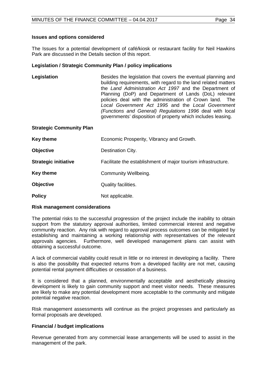The Issues for a potential development of café/kiosk or restaurant facility for Neil Hawkins Park are discussed in the Details section of this report.

#### **Legislation / Strategic Community Plan / policy implications**

| Legislation | Besides the legislation that covers the eventual planning and<br>building requirements, with regard to the land related matters |
|-------------|---------------------------------------------------------------------------------------------------------------------------------|
|             | the Land Administration Act 1997 and the Department of                                                                          |
|             | Planning (DoP) and Department of Lands (DoL) relevant                                                                           |
|             | policies deal with the administration of Crown land. The                                                                        |
|             | Local Government Act 1995 and the Local Government                                                                              |
|             | (Functions and General) Regulations 1996 deal with local                                                                        |
|             | governments' disposition of property which includes leasing.                                                                    |

#### **Strategic Community Plan**

| <b>Key theme</b>            | Economic Prosperity, Vibrancy and Growth.                     |
|-----------------------------|---------------------------------------------------------------|
| <b>Objective</b>            | Destination City.                                             |
| <b>Strategic initiative</b> | Facilitate the establishment of major tourism infrastructure. |
| <b>Key theme</b>            | Community Wellbeing.                                          |
| <b>Objective</b>            | Quality facilities.                                           |
| <b>Policy</b>               | Not applicable.                                               |

#### **Risk management considerations**

The potential risks to the successful progression of the project include the inability to obtain support from the statutory approval authorities, limited commercial interest and negative community reaction. Any risk with regard to approval process outcomes can be mitigated by establishing and maintaining a working relationship with representatives of the relevant approvals agencies. Furthermore, well developed management plans can assist with obtaining a successful outcome.

A lack of commercial viability could result in little or no interest in developing a facility. There is also the possibility that expected returns from a developed facility are not met, causing potential rental payment difficulties or cessation of a business.

It is considered that a planned, environmentally acceptable and aesthetically pleasing development is likely to gain community support and meet visitor needs. These measures are likely to make any potential development more acceptable to the community and mitigate potential negative reaction.

Risk management assessments will continue as the project progresses and particularly as formal proposals are developed.

#### **Financial / budget implications**

Revenue generated from any commercial lease arrangements will be used to assist in the management of the park.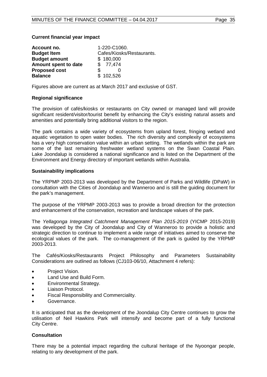#### **Current financial year impact**

| Account no.          | 1-220-C1060.              |
|----------------------|---------------------------|
| <b>Budget Item</b>   | Cafes/Kiosks/Restaurants. |
| <b>Budget amount</b> | \$180,000                 |
| Amount spent to date | \$77,474                  |
| <b>Proposed cost</b> |                           |
| <b>Balance</b>       | \$102,526                 |

Figures above are current as at March 2017 and exclusive of GST.

#### **Regional significance**

The provision of cafés/kiosks or restaurants on City owned or managed land will provide significant resident/visitor/tourist benefit by enhancing the City's existing natural assets and amenities and potentially bring additional visitors to the region.

The park contains a wide variety of ecosystems from upland forest, fringing wetland and aquatic vegetation to open water bodies. The rich diversity and complexity of ecosystems has a very high conservation value within an urban setting. The wetlands within the park are some of the last remaining freshwater wetland systems on the Swan Coastal Plain. Lake Joondalup is considered a national significance and is listed on the Department of the Environment and Energy directory of important wetlands within Australia.

#### **Sustainability implications**

The YRPMP 2003-2013 was developed by the Department of Parks and Wildlife (DPaW) in consultation with the Cities of Joondalup and Wanneroo and is still the guiding document for the park's management.

The purpose of the YRPMP 2003-2013 was to provide a broad direction for the protection and enhancement of the conservation, recreation and landscape values of the park.

The *Yellagonga Integrated Catchment Management Plan 2015-2019* (YICMP 2015-2019) was developed by the City of Joondalup and City of Wanneroo to provide a holistic and strategic direction to continue to implement a wide range of initiatives aimed to conserve the ecological values of the park. The co-management of the park is guided by the YRPMP 2003-2013.

The Cafés/Kiosks/Restaurants Project Philosophy and Parameters Sustainability Considerations are outlined as follows (CJ103-06/10, Attachment 4 refers):

- Project Vision.
- Land Use and Build Form.
- Environmental Strategy.
- Liaison Protocol.
- Fiscal Responsibility and Commerciality.
- Governance.

It is anticipated that as the development of the Joondalup City Centre continues to grow the utilisation of Neil Hawkins Park will intensify and become part of a fully functional City Centre.

#### **Consultation**

There may be a potential impact regarding the cultural heritage of the Nyoongar people, relating to any development of the park.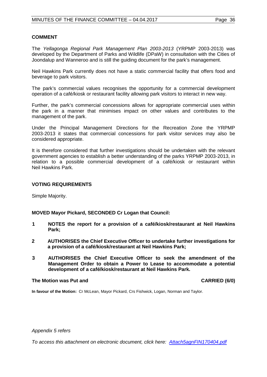#### **COMMENT**

The *Yellagonga Regional Park Management Plan 2003-2013* (YRPMP 2003-2013) was developed by the Department of Parks and Wildlife (DPaW) in consultation with the Cities of Joondalup and Wanneroo and is still the guiding document for the park's management.

Neil Hawkins Park currently does not have a static commercial facility that offers food and beverage to park visitors.

The park's commercial values recognises the opportunity for a commercial development operation of a café/kiosk or restaurant facility allowing park visitors to interact in new way.

Further, the park's commercial concessions allows for appropriate commercial uses within the park in a manner that minimises impact on other values and contributes to the management of the park.

Under the Principal Management Directions for the Recreation Zone the YRPMP 2003-2013 it states that commercial concessions for park visitor services may also be considered appropriate.

It is therefore considered that further investigations should be undertaken with the relevant government agencies to establish a better understanding of the parks YRPMP 2003-2013, in relation to a possible commercial development of a café/kiosk or restaurant within Neil Hawkins Park.

#### **VOTING REQUIREMENTS**

Simple Majority.

#### **MOVED Mayor Pickard, SECONDED Cr Logan that Council:**

- **1 NOTES the report for a provision of a café/kiosk/restaurant at Neil Hawkins Park;**
- **2 AUTHORISES the Chief Executive Officer to undertake further investigations for a provision of a café/kiosk/restaurant at Neil Hawkins Park;**
- **3 AUTHORISES the Chief Executive Officer to seek the amendment of the Management Order to obtain a Power to Lease to accommodate a potential development of a café/kiosk/restaurant at Neil Hawkins Park.**

#### **The Motion was Put and CARRIED (6/0)**

**In favour of the Motion:** Cr McLean, Mayor Pickard, Crs Fishwick, Logan, Norman and Taylor.

*Appendix 5 refers*

*[To access this attachment on electronic document, click here: Attach5agnFIN170404.pdf](http://www.joondalup.wa.gov.au/files/committees/FINC/2017/Attach5agnFIN170404.pdf)*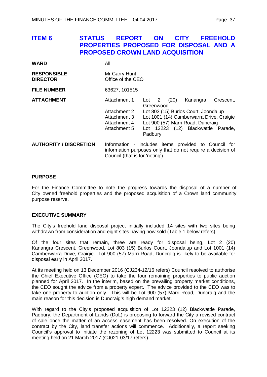## <span id="page-36-0"></span>**ITEM 6 STATUS REPORT ON CITY FREEHOLD PROPERTIES PROPOSED FOR DISPOSAL AND A PROPOSED CROWN LAND ACQUISITION**

| <b>WARD</b>                           | All                                                                                                                                                    |                             |                         |      |                                                                                                                                                                         |           |
|---------------------------------------|--------------------------------------------------------------------------------------------------------------------------------------------------------|-----------------------------|-------------------------|------|-------------------------------------------------------------------------------------------------------------------------------------------------------------------------|-----------|
| <b>RESPONSIBLE</b><br><b>DIRECTOR</b> | Mr Garry Hunt<br>Office of the CEO                                                                                                                     |                             |                         |      |                                                                                                                                                                         |           |
| <b>FILE NUMBER</b>                    | 63627, 101515                                                                                                                                          |                             |                         |      |                                                                                                                                                                         |           |
| <b>ATTACHMENT</b>                     | Attachment 1<br>Attachment 2<br>Attachment 3<br>Attachment 4<br>Attachment 5                                                                           | Lot<br>Greenwood<br>Padbury | $\overline{\mathbf{2}}$ | (20) | Kanangra<br>Lot 803 (15) Burlos Court, Joondalup<br>Lot 1001 (14) Camberwarra Drive, Craigie<br>Lot 900 (57) Marri Road, Duncraig<br>Lot 12223 (12) Blackwattle Parade, | Crescent, |
| <b>AUTHORITY / DISCRETION</b>         | Information - includes items provided to Council for<br>information purposes only that do not require a decision of<br>Council (that is for 'noting'). |                             |                         |      |                                                                                                                                                                         |           |

#### **PURPOSE**

For the Finance Committee to note the progress towards the disposal of a number of City owned freehold properties and the proposed acquisition of a Crown land community purpose reserve.

#### **EXECUTIVE SUMMARY**

The City's freehold land disposal project initially included 14 sites with two sites being withdrawn from consideration and eight sites having now sold (Table 1 below refers).

Of the four sites that remain, three are ready for disposal being, Lot 2 (20) Kanangra Crescent, Greenwood, Lot 803 (15) Burlos Court, Joondalup and Lot 1001 (14) Camberwarra Drive, Craigie. Lot 900 (57) Marri Road, Duncraig is likely to be available for disposal early in April 2017.

At its meeting held on 13 December 2016 (CJ234-12/16 refers) Council resolved to authorise the Chief Executive Office (CEO) to take the four remaining properties to public auction planned for April 2017. In the interim, based on the prevailing property market conditions, the CEO sought the advice from a property expert. The advice provided to the CEO was to take one property to auction only. This will be Lot 900 (57) Marri Road, Duncraig and the main reason for this decision is Duncraig's high demand market.

With regard to the City's proposed acquisition of Lot 12223 (12) Blackwattle Parade, Padbury, the Department of Lands (DoL) is proposing to forward the City a revised contract of sale once the matter of an access easement has been resolved. On execution of the contract by the City, land transfer actions will commence. Additionally, a report seeking Council's approval to initiate the rezoning of Lot 12223 was submitted to Council at its meeting held on 21 March 2017 (CJ021-03/17 refers).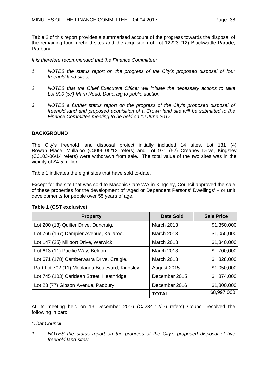Table 2 of this report provides a summarised account of the progress towards the disposal of the remaining four freehold sites and the acquisition of Lot 12223 (12) Blackwattle Parade, Padbury.

*It is therefore recommended that the Finance Committee:* 

- *1 NOTES the status report on the progress of the City's proposed disposal of four freehold land sites;*
- *2 NOTES that the Chief Executive Officer will initiate the necessary actions to take Lot 900 (57) Marri Road, Duncraig to public auction;*
- *3 NOTES a further status report on the progress of the City's proposed disposal of freehold land and proposed acquisition of a Crown land site will be submitted to the Finance Committee meeting to be held on 12 June 2017.*

## **BACKGROUND**

The City's freehold land disposal project initially included 14 sites. Lot 181 (4) Rowan Place, Mullaloo (CJ096-05/12 refers) and Lot 971 (52) Creaney Drive, Kingsley (CJ103-06/14 refers) were withdrawn from sale. The total value of the two sites was in the vicinity of \$4.5 million.

Table 1 indicates the eight sites that have sold to-date.

Except for the site that was sold to Masonic Care WA in Kingsley, Council approved the sale of these properties for the development of 'Aged or Dependent Persons' Dwellings' – or unit developments for people over 55 years of age.

| <b>Property</b>                                 | Date Sold         | <b>Sale Price</b> |
|-------------------------------------------------|-------------------|-------------------|
| Lot 200 (18) Quilter Drive, Duncraig.           | <b>March 2013</b> | \$1,350,000       |
| Lot 766 (167) Dampier Avenue, Kallaroo.         | March 2013        | \$1,055,000       |
| Lot 147 (25) Millport Drive, Warwick.           | March 2013        | \$1,340,000       |
| Lot 613 (11) Pacific Way, Beldon.               | <b>March 2013</b> | 700,000<br>\$     |
| Lot 671 (178) Camberwarra Drive, Craigie.       | March 2013        | 828,000<br>S.     |
| Part Lot 702 (11) Moolanda Boulevard, Kingsley. | August 2015       | \$1,050,000       |
| Lot 745 (103) Caridean Street, Heathridge.      | December 2015     | \$874,000         |
| Lot 23 (77) Gibson Avenue, Padbury              | December 2016     | \$1,800,000       |
|                                                 | <b>TOTAL</b>      | \$8,997,000       |

#### **Table 1 (GST exclusive)**

At its meeting held on 13 December 2016 (CJ234-12/16 refers) Council resolved the following in part:

#### *"That Council:*

*1 NOTES the status report on the progress of the City's proposed disposal of five freehold land sites;*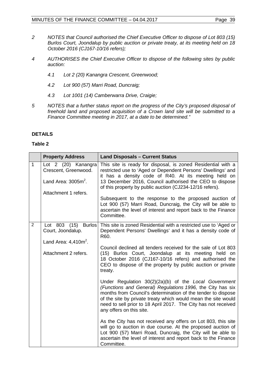- *2 NOTES that Council authorised the Chief Executive Officer to dispose of Lot 803 (15) Burlos Court, Joondalup by public auction or private treaty, at its meeting held on 18 October 2016 (CJ167-10/16 refers);*
- *4 AUTHORISES the Chief Executive Officer to dispose of the following sites by public auction:* 
	- *4.1 Lot 2 (20) Kanangra Crescent, Greenwood;*
	- *4.2 Lot 900 (57) Marri Road, Duncraig;*
	- *4.3 Lot 1001 (14) Camberwarra Drive, Craigie;*
- *5 NOTES that a further status report on the progress of the City's proposed disposal of freehold land and proposed acquisition of a Crown land site will be submitted to a Finance Committee meeting in 2017, at a date to be determined."*

### **DETAILS**

#### **Table 2**

|                | <b>Property Address</b>                                                                       | <b>Land Disposals - Current Status</b>                                                                                                                                                                                                                                                                                                                                                                                                                                                                                                                                                                                                                                                                                                                                                                                                                                                                                                                                                                                                    |
|----------------|-----------------------------------------------------------------------------------------------|-------------------------------------------------------------------------------------------------------------------------------------------------------------------------------------------------------------------------------------------------------------------------------------------------------------------------------------------------------------------------------------------------------------------------------------------------------------------------------------------------------------------------------------------------------------------------------------------------------------------------------------------------------------------------------------------------------------------------------------------------------------------------------------------------------------------------------------------------------------------------------------------------------------------------------------------------------------------------------------------------------------------------------------------|
| $\mathbf{1}$   | Lot 2 (20) Kanangra<br>Crescent, Greenwood.<br>Land Area: $3005m^2$ .<br>Attachment 1 refers. | This site is ready for disposal, is zoned Residential with a<br>restricted use to 'Aged or Dependent Persons' Dwellings' and<br>it has a density code of R40. At its meeting held on<br>13 December 2016, Council authorised the CEO to dispose<br>of this property by public auction (CJ234-12/16 refers).<br>Subsequent to the response to the proposed auction of<br>Lot 900 (57) Marri Road, Duncraig, the City will be able to<br>ascertain the level of interest and report back to the Finance<br>Committee.                                                                                                                                                                                                                                                                                                                                                                                                                                                                                                                       |
| $\overline{2}$ | Lot 803 (15) Burlos<br>Court, Joondalup.<br>Land Area: $4,410m^2$ .<br>Attachment 2 refers.   | This site is zoned Residential with a restricted use to 'Aged or<br>Dependent Persons' Dwellings' and it has a density code of<br>R60.<br>Council declined all tenders received for the sale of Lot 803<br>(15) Burlos Court, Joondalup at its meeting held on<br>18 October 2016 (CJ167-10/16 refers) and authorised the<br>CEO to dispose of the property by public auction or private<br>treaty.<br>Under Regulation 30(2)(2a)(b) of the Local Government<br>(Functions and General) Regulations 1996, the City has six<br>months from Council's determination of the tender to dispose<br>of the site by private treaty which would mean the site would<br>need to sell prior to 18 April 2017. The City has not received<br>any offers on this site.<br>As the City has not received any offers on Lot 803, this site<br>will go to auction in due course. At the proposed auction of<br>Lot 900 (57) Marri Road, Duncraig, the City will be able to<br>ascertain the level of interest and report back to the Finance<br>Committee. |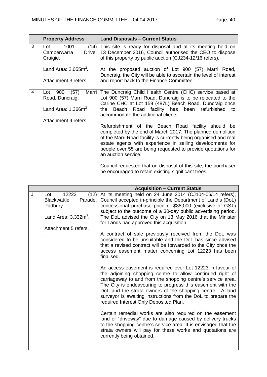|   | <b>Property Address</b>                                                             | <b>Land Disposals - Current Status</b>                                                                                                                                                                                                                                                                                                                                                                                                                                                                                                                                                                                                                                                                                                                          |
|---|-------------------------------------------------------------------------------------|-----------------------------------------------------------------------------------------------------------------------------------------------------------------------------------------------------------------------------------------------------------------------------------------------------------------------------------------------------------------------------------------------------------------------------------------------------------------------------------------------------------------------------------------------------------------------------------------------------------------------------------------------------------------------------------------------------------------------------------------------------------------|
| 3 | 1001<br>Lot<br>Drive,<br>Camberwarra<br>Craigie.                                    | (14) This site is ready for disposal and at its meeting held on<br>13 December 2016, Council authorised the CEO to dispose<br>of this property by public auction (CJ234-12/16 refers).                                                                                                                                                                                                                                                                                                                                                                                                                                                                                                                                                                          |
|   | Land Area: $2,055m^2$ .<br>Attachment 3 refers.                                     | At the proposed auction of Lot 900 (57) Marri Road,<br>Duncraig, the City will be able to ascertain the level of interest<br>and report back to the Finance Committee.                                                                                                                                                                                                                                                                                                                                                                                                                                                                                                                                                                                          |
| 4 | Lot 900<br>(57)<br>Road, Duncraig.<br>Land Area: $1,366m^2$<br>Attachment 4 refers. | Marri   The Duncraig Child Health Centre (CHC) service based at<br>Lot 900 (57) Marri Road, Duncraig is to be relocated to the<br>Carine CHC at Lot 159 (487L) Beach Road, Duncraig once<br>Beach Road facility has been refurbished<br>the l<br>to<br>accommodate the additional clients.<br>Refurbishment of the Beach Road facility should be<br>completed by the end of March 2017. The planned demolition<br>of the Marri Road facility is currently being organised and real<br>estate agents with experience in selling developments for<br>people over 55 are being requested to provide quotations for<br>an auction service.<br>Council requested that on disposal of this site, the purchaser<br>be encouraged to retain existing significant trees. |

|   |                                                                                                                     | <b>Acquisition - Current Status</b>                                                                                                                                                                                                                                                                                                                                                                                          |
|---|---------------------------------------------------------------------------------------------------------------------|------------------------------------------------------------------------------------------------------------------------------------------------------------------------------------------------------------------------------------------------------------------------------------------------------------------------------------------------------------------------------------------------------------------------------|
| 1 | 12223<br>(12)<br>Lot<br><b>Blackwattle</b><br>Parade,<br>Padbury<br>Land Area: $3,332m^2$ .<br>Attachment 5 refers. | At its meeting held on 24 June 2014 (CJ104-06/14 refers),<br>Council accepted in-principle the Department of Land's (DoL)<br>concessional purchase price of \$88,000 (exclusive of GST)<br>subject to the outcome of a 30-day public advertising period.<br>The DoL advised the City on 13 May 2016 that the Minister<br>for Lands had approved this acquisition.                                                            |
|   |                                                                                                                     | A contract of sale previously received from the DoL was<br>considered to be unsuitable and the DoL has since advised<br>that a revised contract will be forwarded to the City once the<br>access easement matter concerning Lot 12223 has been<br>finalised.                                                                                                                                                                 |
|   |                                                                                                                     | An access easement is required over Lot 12223 in favour of<br>the adjoining shopping centre to allow continued right of<br>carriageway to and from the shopping centre's service area.<br>The City is endeavouring to progress this easement with the<br>DoL and the strata owners of the shopping centre. A land<br>surveyor is awaiting instructions from the DoL to prepare the<br>required Interest Only Deposited Plan. |
|   |                                                                                                                     | Certain remedial works are also required on the easement<br>land or "driveway" due to damage caused by delivery trucks<br>to the shopping centre's service area. It is envisaged that the<br>strata owners will pay for these works and quotations are<br>currently being obtained.                                                                                                                                          |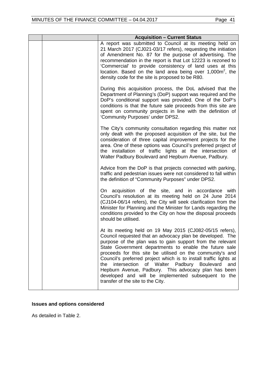|  | <b>Acquisition - Current Status</b>                                                                                                                                                                                                                                                                                                                                                                                                                                                                                                                                                             |
|--|-------------------------------------------------------------------------------------------------------------------------------------------------------------------------------------------------------------------------------------------------------------------------------------------------------------------------------------------------------------------------------------------------------------------------------------------------------------------------------------------------------------------------------------------------------------------------------------------------|
|  | A report was submitted to Council at its meeting held on<br>21 March 2017 (CJ021-03/17 refers), requesting the initiation<br>of Amendment No. 87 for the purpose of advertising. The<br>recommendation in the report is that Lot 12223 is rezoned to<br>'Commercial' to provide consistency of land uses at this<br>location. Based on the land area being over $1,000m^2$ , the<br>density code for the site is proposed to be R80.                                                                                                                                                            |
|  | During this acquisition process, the DoL advised that the<br>Department of Planning's (DoP) support was required and the<br>DoP's conditional support was provided. One of the DoP's<br>conditions is that the future sale proceeds from this site are<br>spent on community projects in line with the definition of<br>'Community Purposes' under DPS2.                                                                                                                                                                                                                                        |
|  | The City's community consultation regarding this matter not<br>only dealt with the proposed acquisition of the site, but the<br>consideration of three capital improvement projects for the<br>area. One of these options was Council's preferred project of<br>the installation of traffic lights at the intersection of<br>Walter Padbury Boulevard and Hepburn Avenue, Padbury.                                                                                                                                                                                                              |
|  | Advice from the DoP is that projects connected with parking,<br>traffic and pedestrian issues were not considered to fall within<br>the definition of "Community Purposes" under DPS2.                                                                                                                                                                                                                                                                                                                                                                                                          |
|  | On acquisition of the site, and in accordance with<br>Council's resolution at its meeting held on 24 June 2014<br>(CJ104-06/14 refers), the City will seek clarification from the<br>Minister for Planning and the Minister for Lands regarding the<br>conditions provided to the City on how the disposal proceeds<br>should be utilised.                                                                                                                                                                                                                                                      |
|  | At its meeting held on 19 May 2015 (CJ082-05/15 refers),<br>Council requested that an advocacy plan be developed. The<br>purpose of the plan was to gain support from the relevant<br>State Government departments to enable the future sale<br>proceeds for this site be utilised on the community's and<br>Council's preferred project which is to install traffic lights at<br>intersection<br>of Walter Padbury Boulevard<br>the<br>and<br>Hepburn Avenue, Padbury. This advocacy plan has been<br>developed and will be implemented subsequent to the<br>transfer of the site to the City. |

## **Issues and options considered**

As detailed in Table 2.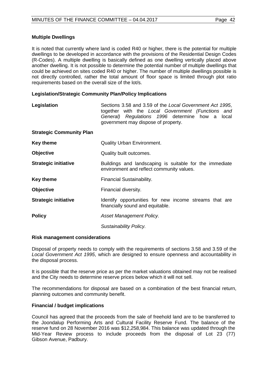### **Multiple Dwellings**

It is noted that currently where land is coded R40 or higher, there is the potential for multiple dwellings to be developed in accordance with the provisions of the Residential Design Codes (R-Codes). A multiple dwelling is basically defined as one dwelling vertically placed above another dwelling. It is not possible to determine the potential number of multiple dwellings that could be achieved on sites coded R40 or higher. The number of multiple dwellings possible is not directly controlled, rather the total amount of floor space is limited through plot ratio requirements based on the overall size of the lot/s.

### **Legislation/Strategic Community Plan/Policy Implications**

| Legislation                     | Sections 3.58 and 3.59 of the Local Government Act 1995,<br>together with the Local Government (Functions and<br>General) Regulations 1996 determine how a local<br>government may dispose of property. |
|---------------------------------|---------------------------------------------------------------------------------------------------------------------------------------------------------------------------------------------------------|
| <b>Strategic Community Plan</b> |                                                                                                                                                                                                         |
| <b>Key theme</b>                | <b>Quality Urban Environment.</b>                                                                                                                                                                       |
| Objective                       | Quality built outcomes.                                                                                                                                                                                 |
| <b>Strategic initiative</b>     | Buildings and landscaping is suitable for the immediate<br>environment and reflect community values.                                                                                                    |
| <b>Key theme</b>                | Financial Sustainability.                                                                                                                                                                               |
| <b>Objective</b>                | Financial diversity.                                                                                                                                                                                    |
| <b>Strategic initiative</b>     | Identify opportunities for new income streams that are<br>financially sound and equitable.                                                                                                              |
| <b>Policy</b>                   | Asset Management Policy.                                                                                                                                                                                |
|                                 | Sustainability Policy.                                                                                                                                                                                  |

#### **Risk management considerations**

Disposal of property needs to comply with the requirements of sections 3.58 and 3.59 of the *Local Government Act 1995*, which are designed to ensure openness and accountability in the disposal process.

It is possible that the reserve price as per the market valuations obtained may not be realised and the City needs to determine reserve prices below which it will not sell.

The recommendations for disposal are based on a combination of the best financial return, planning outcomes and community benefit.

## **Financial / budget implications**

Council has agreed that the proceeds from the sale of freehold land are to be transferred to the Joondalup Performing Arts and Cultural Facility Reserve Fund. The balance of the reserve fund on 28 November 2016 was \$12,258,984. This balance was updated through the Mid-Year Review process to include proceeds from the disposal of Lot 23 (77) Gibson Avenue, Padbury.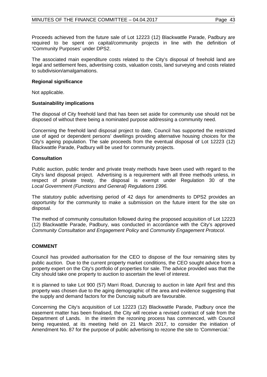Proceeds achieved from the future sale of Lot 12223 (12) Blackwattle Parade, Padbury are required to be spent on capital/community projects in line with the definition of 'Community Purposes' under DPS2.

The associated main expenditure costs related to the City's disposal of freehold land are legal and settlement fees, advertising costs, valuation costs, land surveying and costs related to subdivision/amalgamations.

#### **Regional significance**

Not applicable.

### **Sustainability implications**

The disposal of City freehold land that has been set aside for community use should not be disposed of without there being a nominated purpose addressing a community need.

Concerning the freehold land disposal project to date, Council has supported the restricted use of aged or dependent persons' dwellings providing alternative housing choices for the City's ageing population. The sale proceeds from the eventual disposal of Lot 12223 (12) Blackwattle Parade, Padbury will be used for community projects.

### **Consultation**

Public auction, public tender and private treaty methods have been used with regard to the City's land disposal project. Advertising is a requirement with all three methods unless, in respect of private treaty, the disposal is exempt under Regulation 30 of the *Local Government (Functions and General) Regulations 1996.*

The statutory public advertising period of 42 days for amendments to DPS2 provides an opportunity for the community to make a submission on the future intent for the site on disposal.

The method of community consultation followed during the proposed acquisition of Lot 12223 (12) Blackwattle Parade, Padbury, was conducted in accordance with the City's approved *Community Consultation and Engagement Policy* and *Community Engagement Protocol*.

## **COMMENT**

Council has provided authorisation for the CEO to dispose of the four remaining sites by public auction. Due to the current property market conditions, the CEO sought advice from a property expert on the City's portfolio of properties for sale. The advice provided was that the City should take one property to auction to ascertain the level of interest.

It is planned to take Lot 900 (57) Marri Road, Duncraig to auction in late April first and this property was chosen due to the aging demographic of the area and evidence suggesting that the supply and demand factors for the Duncraig suburb are favourable.

Concerning the City's acquisition of Lot 12223 (12) Blackwattle Parade, Padbury once the easement matter has been finalised, the City will receive a revised contract of sale from the Department of Lands. In the interim the rezoning process has commenced, with Council being requested, at its meeting held on 21 March 2017, to consider the initiation of Amendment No. 87 for the purpose of public advertising to rezone the site to 'Commercial.'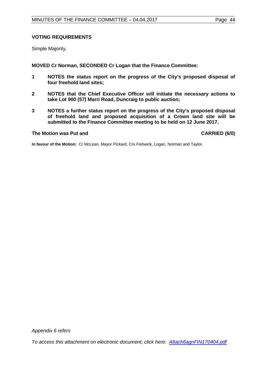### **VOTING REQUIREMENTS**

Simple Majority.

**MOVED Cr Norman, SECONDED Cr Logan that the Finance Committee:**

- **1 NOTES the status report on the progress of the City's proposed disposal of four freehold land sites;**
- **2 NOTES that the Chief Executive Officer will initiate the necessary actions to take Lot 900 (57) Marri Road, Duncraig to public auction;**
- **3 NOTES a further status report on the progress of the City's proposed disposal of freehold land and proposed acquisition of a Crown land site will be submitted to the Finance Committee meeting to be held on 12 June 2017.**

#### **The Motion was Put and CARRIED (6/0)**

**In favour of the Motion:** Cr McLean, Mayor Pickard, Crs Fishwick, Logan, Norman and Taylor.

*Appendix 6 refers*

*[To access this attachment on electronic document, click here: Attach6agnFIN170404.pdf](http://www.joondalup.wa.gov.au/files/committees/FINC/2017/Attach6agnFIN170404.pdf)*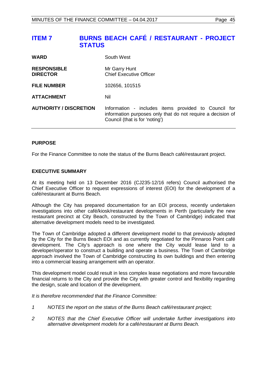<span id="page-44-0"></span>

| <b>WARD</b>                           | South West                                                                                                                                            |
|---------------------------------------|-------------------------------------------------------------------------------------------------------------------------------------------------------|
| <b>RESPONSIBLE</b><br><b>DIRECTOR</b> | Mr Garry Hunt<br><b>Chief Executive Officer</b>                                                                                                       |
| <b>FILE NUMBER</b>                    | 102656, 101515                                                                                                                                        |
| <b>ATTACHMENT</b>                     | Nil                                                                                                                                                   |
| <b>AUTHORITY / DISCRETION</b>         | Information - includes items provided to Council for<br>information purposes only that do not require a decision of<br>Council (that is for 'noting') |

### **PURPOSE**

For the Finance Committee to note the status of the Burns Beach café/restaurant project.

#### **EXECUTIVE SUMMARY**

At its meeting held on 13 December 2016 (CJ235-12/16 refers) Council authorised the Chief Executive Officer to request expressions of interest (EOI) for the development of a café/restaurant at Burns Beach.

Although the City has prepared documentation for an EOI process, recently undertaken investigations into other café/kiosk/restaurant developments in Perth (particularly the new restaurant precinct at City Beach, constructed by the Town of Cambridge) indicated that alternative development models need to be investigated.

The Town of Cambridge adopted a different development model to that previously adopted by the City for the Burns Beach EOI and as currently negotiated for the Pinnaroo Point café development. The City's approach is one where the City would lease land to a developer/operator to construct a building and operate a business. The Town of Cambridge approach involved the Town of Cambridge constructing its own buildings and then entering into a commercial leasing arrangement with an operator.

This development model could result in less complex lease negotiations and more favourable financial returns to the City and provide the City with greater control and flexibility regarding the design, scale and location of the development.

*It is therefore recommended that the Finance Committee:*

- *1 NOTES the report on the status of the Burns Beach café/restaurant project;*
- *2 NOTES that the Chief Executive Officer will undertake further investigations into alternative development models for a café/restaurant at Burns Beach.*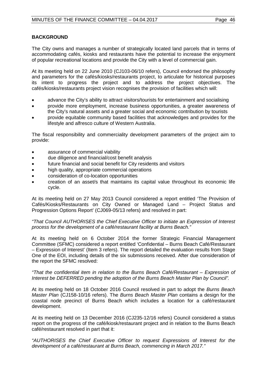### **BACKGROUND**

The City owns and manages a number of strategically located land parcels that in terms of accommodating cafés, kiosks and restaurants have the potential to increase the enjoyment of popular recreational locations and provide the City with a level of commercial gain.

At its meeting held on 22 June 2010 (CJ103-06/10 refers), Council endorsed the philosophy and parameters for the cafés/kiosks/restaurants project, to articulate for historical purposes its intent to progress the project and to address the project objectives. The cafés/kiosks/restaurants project vision recognises the provision of facilities which will:

- advance the City's ability to attract visitors/tourists for entertainment and socialising
- provide more employment, increase business opportunities, a greater awareness of the City's natural assets and a greater social and economic contribution by tourists
- provide equitable community based facilities that acknowledges and provides for the lifestyle and alfresco culture of Western Australia.

The fiscal responsibility and commerciality development parameters of the project aim to provide:

- assurance of commercial viability
- due diligence and financial/cost benefit analysis
- future financial and social benefit for City residents and visitors
- high quality, appropriate commercial operations
- consideration of co-location opportunities
- creation of an asset/s that maintains its capital value throughout its economic life cycle.

At its meeting held on 27 May 2013 Council considered a report entitled 'The Provision of Cafés/Kiosks/Restaurants on City Owned or Managed Land – Project Status and Progression Options Report' (CJ069-05/13 refers) and resolved in part:

#### *"That Council AUTHORISES the Chief Executive Officer to initiate an Expression of Interest process for the development of a café/restaurant facility at Burns Beach."*

At its meeting held on 6 October 2014 the former Strategic Financial Management Committee (SFMC) considered a report entitled 'Confidential – Burns Beach Café/Restaurant – Expression of Interest' (Item 3 refers). The report detailed the evaluation results from Stage One of the EOI, including details of the six submissions received. After due consideration of the report the SFMC resolved:

#### *"That the confidential item in relation to the Burns Beach Café/Restaurant – Expression of Interest be DEFERRED pending the adoption of the Burns Beach Master Plan by Council".*

At its meeting held on 18 October 2016 Council resolved in part to adopt the *Burns Beach Master Plan* (CJ158-10/16 refers). The *Burns Beach Master Plan* contains a design for the coastal node precinct of Burns Beach which includes a location for a café/restaurant development.

At its meeting held on 13 December 2016 (CJ235-12/16 refers) Council considered a status report on the progress of the café/kiosk/restaurant project and in relation to the Burns Beach café/restaurant resolved in part that it:

*"AUTHORISES the Chief Executive Officer to request Expressions of Interest for the development of a café/restaurant at Burns Beach, commencing in March 2017."*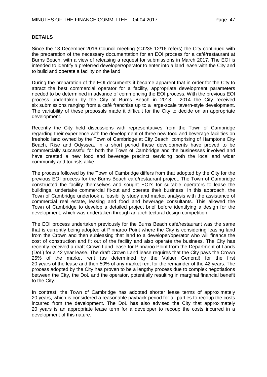#### **DETAILS**

Since the 13 December 2016 Council meeting (CJ235-12/16 refers) the City continued with the preparation of the necessary documentation for an EOI process for a café/restaurant at Burns Beach, with a view of releasing a request for submissions in March 2017. The EOI is intended to identify a preferred developer/operator to enter into a land lease with the City and to build and operate a facility on the land.

During the preparation of the EOI documents it became apparent that in order for the City to attract the best commercial operator for a facility, appropriate development parameters needed to be determined in advance of commencing the EOI process. With the previous EOI process undertaken by the City at Burns Beach in 2013 - 2014 the City received six submissions ranging from a café franchise up to a large-scale tavern-style development. The variability of these proposals made it difficult for the City to decide on an appropriate development.

Recently the City held discussions with representatives from the Town of Cambridge regarding their experience with the development of three new food and beverage facilities on freehold land owned by the Town of Cambridge at City Beach, comprising of Hamptons City Beach, Rise and Odyssea. In a short period these developments have proved to be commercially successful for both the Town of Cambridge and the businesses involved and have created a new food and beverage precinct servicing both the local and wider community and tourists alike.

The process followed by the Town of Cambridge differs from that adopted by the City for the previous EOI process for the Burns Beach café/restaurant project. The Town of Cambridge constructed the facility themselves and sought EOI's for suitable operators to lease the buildings, undertake commercial fit-out and operate their business. In this approach, the Town of Cambridge undertook a feasibility study and market analysis with the assistance of commercial real estate, leasing and food and beverage consultants. This allowed the Town of Cambridge to develop a detailed project brief before identifying a design for the development, which was undertaken through an architectural design competition.

The EOI process undertaken previously for the Burns Beach café/restaurant was the same that is currently being adopted at Pinnaroo Point where the City is considering leasing land from the Crown and then subleasing that land to a developer/operator who will finance the cost of construction and fit out of the facility and also operate the business. The City has recently received a draft Crown Land lease for Pinnaroo Point from the Department of Lands (DoL) for a 42 year lease. The draft Crown Land lease requires that the City pays the Crown 25% of the market rent (as determined by the Valuer General) for the first 20 years of the lease and then 50% of any market rent for the remainder of the 42 years. The process adopted by the City has proven to be a lengthy process due to complex negotiations between the City, the DoL and the operator, potentially resulting in marginal financial benefit to the City.

In contrast, the Town of Cambridge has adopted shorter lease terms of approximately 20 years, which is considered a reasonable payback period for all parties to recoup the costs incurred from the development. The DoL has also advised the City that approximately 20 years is an appropriate lease term for a developer to recoup the costs incurred in a development of this nature.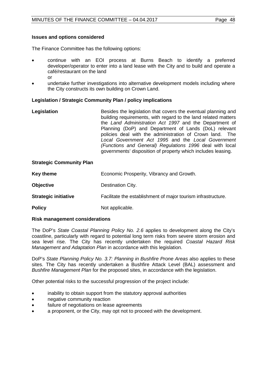#### **Issues and options considered**

The Finance Committee has the following options:

- continue with an EOI process at Burns Beach to identify a preferred developer/operator to enter into a land lease with the City and to build and operate a café/restaurant on the land or
- undertake further investigations into alternative development models including where the City constructs its own building on Crown Land.

#### **Legislation / Strategic Community Plan / policy implications**

| Besides the legislation that covers the eventual planning and<br>building requirements, with regard to the land related matters |
|---------------------------------------------------------------------------------------------------------------------------------|
| the Land Administration Act 1997 and the Department of                                                                          |
| Planning (DoP) and Department of Lands (DoL) relevant                                                                           |
| policies deal with the administration of Crown land. The                                                                        |
| Local Government Act 1995 and the Local Government                                                                              |
| (Functions and General) Regulations 1996 deal with local                                                                        |
| governments' disposition of property which includes leasing.                                                                    |
|                                                                                                                                 |

#### **Strategic Community Plan**

| Key theme                   | Economic Prosperity, Vibrancy and Growth.                     |
|-----------------------------|---------------------------------------------------------------|
| <b>Objective</b>            | Destination City.                                             |
| <b>Strategic initiative</b> | Facilitate the establishment of major tourism infrastructure. |
| <b>Policy</b>               | Not applicable.                                               |

#### **Risk management considerations**

The DoP's *State Coastal Planning Policy No. 2.6* applies to development along the City's coastline, particularly with regard to potential long term risks from severe storm erosion and sea level rise. The City has recently undertaken the required *Coastal Hazard Risk Management and Adaptation Plan* in accordance with this legislation.

DoP's *State Planning Policy No. 3.7: Planning in Bushfire Prone Areas* also applies to these sites. The City has recently undertaken a Bushfire Attack Level (BAL) assessment and *Bushfire Management Plan* for the proposed sites, in accordance with the legislation.

Other potential risks to the successful progression of the project include:

- inability to obtain support from the statutory approval authorities
- negative community reaction
- failure of negotiations on lease agreements
- a proponent, or the City, may opt not to proceed with the development.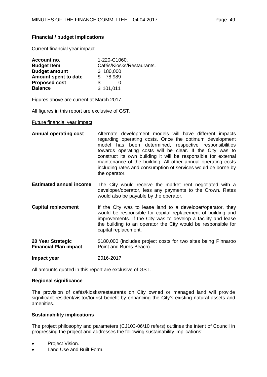### **Financial / budget implications**

Current financial year impact

| Account no.          | 1-220-C1060.              |
|----------------------|---------------------------|
| <b>Budget Item</b>   | Cafés/Kiosks/Restaurants. |
| <b>Budget amount</b> | \$180,000                 |
| Amount spent to date | \$78,989                  |
| <b>Proposed cost</b> | S                         |
| <b>Balance</b>       | \$101,011                 |

Figures above are current at March 2017.

All figures in this report are exclusive of GST.

#### Future financial year impact

- **Annual operating cost** Alternate development models will have different impacts regarding operating costs. Once the optimum development model has been determined, respective responsibilities towards operating costs will be clear. If the City was to construct its own building it will be responsible for external maintenance of the building. All other annual operating costs including rates and consumption of services would be borne by the operator.
- **Estimated annual income** The City would receive the market rent negotiated with a developer/operator, less any payments to the Crown. Rates would also be payable by the operator.
- **Capital replacement** If the City was to lease land to a developer/operator, they would be responsible for capital replacement of building and improvements. If the City was to develop a facility and lease the building to an operator the City would be responsible for capital replacement.
- **20 Year Strategic Financial Plan impact**  \$180,000 (includes project costs for two sites being Pinnaroo Point and Burns Beach).

**Impact year** 2016-2017.

All amounts quoted in this report are exclusive of GST.

#### **Regional significance**

The provision of cafés/kiosks/restaurants on City owned or managed land will provide significant resident/visitor/tourist benefit by enhancing the City's existing natural assets and amenities.

#### **Sustainability implications**

The project philosophy and parameters (CJ103-06/10 refers) outlines the intent of Council in progressing the project and addresses the following sustainability implications:

- Project Vision.
- Land Use and Built Form.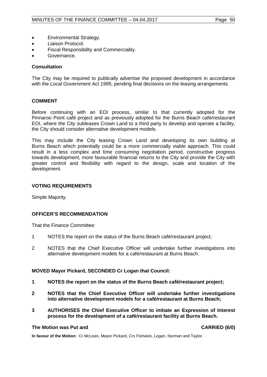- Environmental Strategy.
- Liaison Protocol.
- Fiscal Responsibility and Commerciality.
- Governance.

#### **Consultation**

The City may be required to publically advertise the proposed development in accordance with the *Local Government Act 1995*, pending final decisions on the leasing arrangements.

#### **COMMENT**

Before continuing with an EOI process, similar to that currently adopted for the Pinnaroo Point café project and as previously adopted for the Burns Beach café/restaurant EOI, where the City subleases Crown Land to a third party to develop and operate a facility, the City should consider alternative development models.

This may include the City leasing Crown Land and developing its own building at Burns Beach which potentially could be a more commercially viable approach. This could result in a less complex and time consuming negotiation period, constructive progress towards development, more favourable financial returns to the City and provide the City with greater control and flexibility with regard to the design, scale and location of the development.

#### **VOTING REQUIREMENTS**

Simple Majority.

#### **OFFICER'S RECOMMENDATION**

That the Finance Committee:

- 1 NOTES the report on the status of the Burns Beach café/restaurant project;
- 2 NOTES that the Chief Executive Officer will undertake further investigations into alternative development models for a café/restaurant at Burns Beach.

#### **MOVED Mayor Pickard, SECONDED Cr Logan that Council:**

- **1 NOTES the report on the status of the Burns Beach café/restaurant project;**
- **2 NOTES that the Chief Executive Officer will undertake further investigations into alternative development models for a café/restaurant at Burns Beach;**
- **3 AUTHORISES the Chief Executive Officer to initiate an Expression of Interest process for the development of a café/restaurant facility at Burns Beach.**

#### **The Motion was Put and CARRIED (6/0)**

**In favour of the Motion:** Cr McLean, Mayor Pickard, Crs Fishwick, Logan, Norman and Taylor.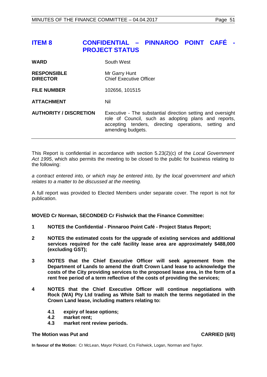## <span id="page-50-0"></span>**ITEM 8 CONFIDENTIAL – PINNAROO POINT CAFÉ - PROJECT STATUS**

| <b>WARD</b>                           | South West                                                                                                                                                                                          |
|---------------------------------------|-----------------------------------------------------------------------------------------------------------------------------------------------------------------------------------------------------|
| <b>RESPONSIBLE</b><br><b>DIRECTOR</b> | Mr Garry Hunt<br><b>Chief Executive Officer</b>                                                                                                                                                     |
| <b>FILE NUMBER</b>                    | 102656, 101515                                                                                                                                                                                      |
| <b>ATTACHMENT</b>                     | Nil                                                                                                                                                                                                 |
| <b>AUTHORITY / DISCRETION</b>         | Executive - The substantial direction setting and oversight<br>role of Council, such as adopting plans and reports,<br>accepting tenders, directing operations, setting<br>and<br>amending budgets. |

This Report is confidential in accordance with section 5.23(2)(c) of the *Local Government Act 1995*, which also permits the meeting to be closed to the public for business relating to the following:

*a contract entered into, or which may be entered into, by the local government and which relates to a matter to be discussed at the meeting.*

A full report was provided to Elected Members under separate cover. The report is not for publication.

**MOVED Cr Norman, SECONDED Cr Fishwick that the Finance Committee:**

- **1 NOTES the Confidential - Pinnaroo Point Café - Project Status Report;**
- **2 NOTES the estimated costs for the upgrade of existing services and additional services required for the café facility lease area are approximately \$488,000 (excluding GST);**
- **3 NOTES that the Chief Executive Officer will seek agreement from the Department of Lands to amend the draft Crown Land lease to acknowledge the costs of the City providing services to the proposed lease area, in the form of a rent free period of a term reflective of the costs of providing the services;**
- **4 NOTES that the Chief Executive Officer will continue negotiations with Rock (WA) Pty Ltd trading as White Salt to match the terms negotiated in the Crown Land lease, including matters relating to:**
	- **4.1 expiry of lease options;**
	- **4.2 market rent;**
	- **4.3 market rent review periods.**

#### **The Motion was Put and CARRIED (6/0)**

**In favour of the Motion:** Cr McLean, Mayor Pickard, Crs Fishwick, Logan, Norman and Taylor.